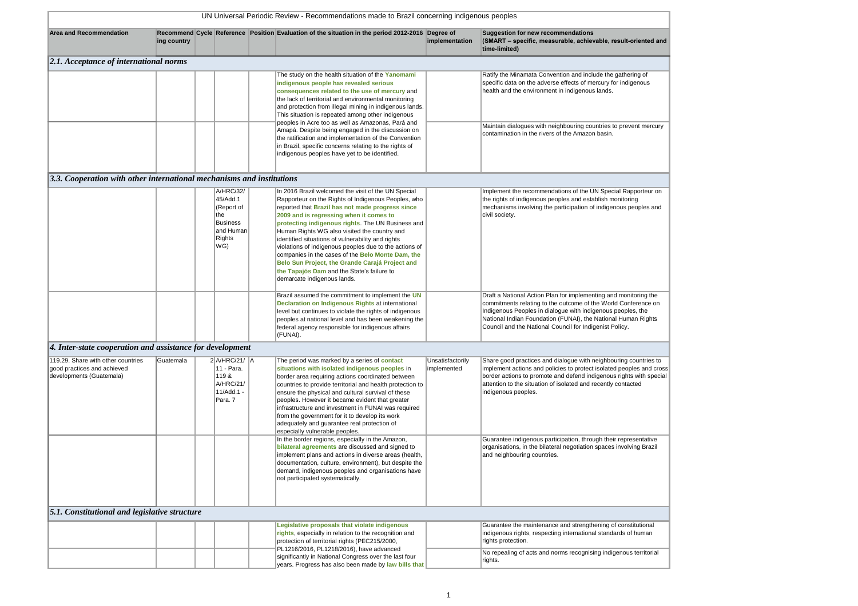| <b>Area and Recommendation</b>                                                                | ing country |                                                                                                             | Recommend Cycle Reference Position Evaluation of the situation in the period 2012-2016 Degree of                                                                                                                                                                                                                                                                                                                                                                                                                                                                                                                   | implementation                  | <b>Suggestion for new recommendations</b><br>(SMART - specific, measurable, achiev<br>time-limited)                                                                                                                          |
|-----------------------------------------------------------------------------------------------|-------------|-------------------------------------------------------------------------------------------------------------|--------------------------------------------------------------------------------------------------------------------------------------------------------------------------------------------------------------------------------------------------------------------------------------------------------------------------------------------------------------------------------------------------------------------------------------------------------------------------------------------------------------------------------------------------------------------------------------------------------------------|---------------------------------|------------------------------------------------------------------------------------------------------------------------------------------------------------------------------------------------------------------------------|
| $ 2.1$ . Acceptance of international norms                                                    |             |                                                                                                             |                                                                                                                                                                                                                                                                                                                                                                                                                                                                                                                                                                                                                    |                                 |                                                                                                                                                                                                                              |
|                                                                                               |             |                                                                                                             | The study on the health situation of the Yanomami<br>indigenous people has revealed serious<br>consequences related to the use of mercury and<br>the lack of territorial and environmental monitoring<br>and protection from illegal mining in indigenous lands.<br>This situation is repeated among other indigenous                                                                                                                                                                                                                                                                                              |                                 | Ratify the Minamata Convention and inclu<br>specific data on the adverse effects of me<br>health and the environment in indigenous                                                                                           |
|                                                                                               |             |                                                                                                             | peoples in Acre too as well as Amazonas, Pará and<br>Amapá. Despite being engaged in the discussion on<br>the ratification and implementation of the Convention<br>in Brazil, specific concerns relating to the rights of<br>indigenous peoples have yet to be identified.                                                                                                                                                                                                                                                                                                                                         |                                 | Maintain dialogues with neighbouring cou<br>contamination in the rivers of the Amazon                                                                                                                                        |
| $\vert 3.3$ . Cooperation with other international mechanisms and institutions                |             |                                                                                                             |                                                                                                                                                                                                                                                                                                                                                                                                                                                                                                                                                                                                                    |                                 |                                                                                                                                                                                                                              |
|                                                                                               |             | A/HRC/32/<br>45/Add.1<br>(Report of<br>the<br><b>Business</b><br>$\sf I$ and Human $\sf I$<br>Rights<br>WG) | In 2016 Brazil welcomed the visit of the UN Special<br>Rapporteur on the Rights of Indigenous Peoples, who<br>reported that Brazil has not made progress since<br>2009 and is regressing when it comes to<br>protecting indigenous rights. The UN Business and<br>Human Rights WG also visited the country and<br>identified situations of vulnerability and rights<br>violations of indigenous peoples due to the actions of<br>companies in the cases of the Belo Monte Dam, the<br>Belo Sun Project, the Grande Carajá Project and<br>the Tapajós Dam and the State's failure to<br>demarcate indigenous lands. |                                 | Implement the recommendations of the U<br>the rights of indigenous peoples and esta<br>mechanisms involving the participation of<br>civil society.                                                                           |
|                                                                                               |             |                                                                                                             | Brazil assumed the commitment to implement the UN<br><b>Declaration on Indigenous Rights at international</b><br>level but continues to violate the rights of indigenous<br>peoples at national level and has been weakening the<br>federal agency responsible for indigenous affairs<br>(FUNAI).                                                                                                                                                                                                                                                                                                                  |                                 | Draft a National Action Plan for implemen<br>commitments relating to the outcome of th<br>Indigenous Peoples in dialogue with indig<br>National Indian Foundation (FUNAI), the<br>Council and the National Council for Indig |
| $\vert$ 4. Inter-state cooperation and assistance for development                             |             |                                                                                                             |                                                                                                                                                                                                                                                                                                                                                                                                                                                                                                                                                                                                                    |                                 |                                                                                                                                                                                                                              |
| 119.29. Share with other countries<br>good practices and achieved<br>developments (Guatemala) | Guatemala   | $2$ $A/HRC/21/$ $A$<br>11 - Para.<br>119&<br>A/HRC/21/<br>11/Add.1 -<br>Para. 7                             | The period was marked by a series of <b>contact</b><br>situations with isolated indigenous peoples in<br>border area requiring actions coordinated between<br>countries to provide territorial and health protection to<br>ensure the physical and cultural survival of these<br>peoples. However it became evident that greater<br>infrastructure and investment in FUNAI was required<br>from the government for it to develop its work<br>adequately and guarantee real protection of<br>especially vulnerable peoples.                                                                                         | Unsatisfactorily<br>implemented | Share good practices and dialogue with n<br>implement actions and policies to protect<br>border actions to promote and defend ind<br>attention to the situation of isolated and re<br>indigenous peoples.                    |
|                                                                                               |             |                                                                                                             | In the border regions, especially in the Amazon,<br>bilateral agreements are discussed and signed to<br>implement plans and actions in diverse areas (health,<br>documentation, culture, environment), but despite the<br>demand, indigenous peoples and organisations have<br>not participated systematically.                                                                                                                                                                                                                                                                                                    |                                 | Guarantee indigenous participation, throu<br>organisations, in the bilateral negotiation<br>and neighbouring countries.                                                                                                      |
| <b>5.1. Constitutional and legislative structure</b>                                          |             |                                                                                                             |                                                                                                                                                                                                                                                                                                                                                                                                                                                                                                                                                                                                                    |                                 |                                                                                                                                                                                                                              |
|                                                                                               |             |                                                                                                             | Legislative proposals that violate indigenous<br>rights, especially in relation to the recognition and<br>protection of territorial rights (PEC215/2000,<br>PL1216/2016, PL1218/2016), have advanced                                                                                                                                                                                                                                                                                                                                                                                                               |                                 | Guarantee the maintenance and strength<br>indigenous rights, respecting internationa<br>rights protection.                                                                                                                   |
|                                                                                               |             |                                                                                                             | significantly in National Congress over the last four<br>years. Progress has also been made by law bills that                                                                                                                                                                                                                                                                                                                                                                                                                                                                                                      |                                 | No repealing of acts and norms recognisi<br>rights.                                                                                                                                                                          |

Guarantee the maintenance and strengthening of constitutional indigenous rights, respecting international standards of human

I norms recognising indigenous territorial

**(S** achievable, result-oriented and

nvention and include the gathering of erse effects of mercury for indigenous hent in indigenous lands.

neighbouring countries to prevent mercury ers of the Amazon basin.

Indations of the UN Special Rapporteur on peoples and establish monitoring .<br>ne participation of indigenous peoples and

Plan for implementing and monitoring the the outcome of the World Conference on Indigenous Peoples in dialogue with indigenous peoples, the National Indian Foundation (FUNAI), the National Human Rights I Council for Indigenist Policy.

> od dialogue with neighbouring countries to  $\text{noise}$  to protect isolated peoples and cross te and defend indigenous rights with special of isolated and recently contacted

articipation, through their representative ateral negotiation spaces involving Brazil ries.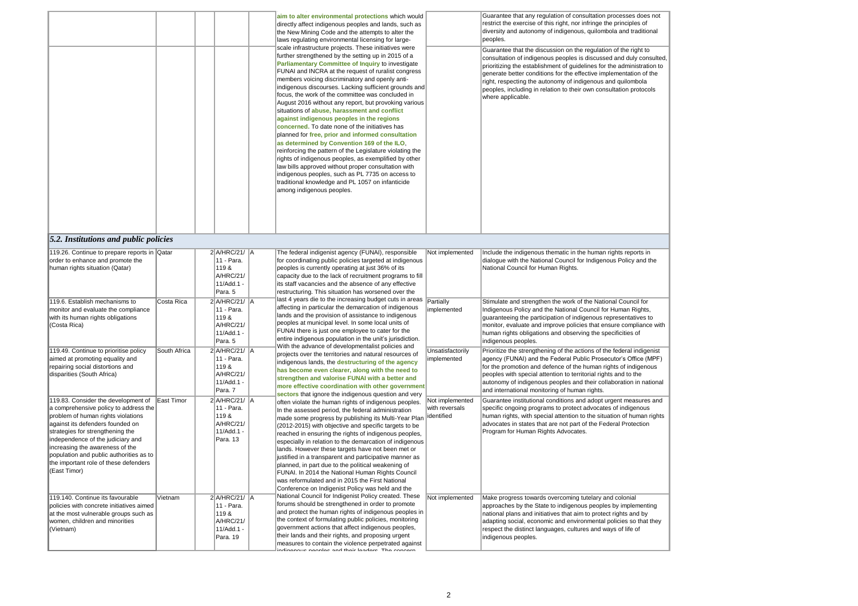|                                                                                                                                                                                                                                                                                                                                                                        |              |                                                                             | aim to alter environmental protections which would<br>directly affect indigenous peoples and lands, such as<br>the New Mining Code and the attempts to alter the<br>laws regulating environmental licensing for large-<br>scale infrastructure projects. These initiatives were<br>further strengthened by the setting up in 2015 of a<br><b>Parliamentary Committee of Inquiry to investigate</b><br>FUNAI and INCRA at the request of ruralist congress<br>members voicing discriminatory and openly anti-<br>indigenous discourses. Lacking sufficient grounds and<br>focus, the work of the committee was concluded in<br>August 2016 without any report, but provoking various<br>situations of abuse, harassment and conflict<br>against indigenous peoples in the regions<br>concerned. To date none of the initiatives has<br>planned for free, prior and informed consultation<br>as determined by Convention 169 of the ILO,<br>reinforcing the pattern of the Legislature violating the<br>rights of indigenous peoples, as exemplified by other<br>law bills approved without proper consultation with<br>indigenous peoples, such as PL 7735 on access to<br>traditional knowledge and PL 1057 on infanticide<br>among indigenous peoples. |                                                 | Guarantee that any regul<br>restrict the exercise of thi<br>diversity and autonomy o<br>peoples.<br>Guarantee that the discu<br>consultation of indigenou<br>prioritizing the establishn<br>generate better condition<br>right, respecting the auto<br>peoples, including in rela<br>where applicable. |
|------------------------------------------------------------------------------------------------------------------------------------------------------------------------------------------------------------------------------------------------------------------------------------------------------------------------------------------------------------------------|--------------|-----------------------------------------------------------------------------|---------------------------------------------------------------------------------------------------------------------------------------------------------------------------------------------------------------------------------------------------------------------------------------------------------------------------------------------------------------------------------------------------------------------------------------------------------------------------------------------------------------------------------------------------------------------------------------------------------------------------------------------------------------------------------------------------------------------------------------------------------------------------------------------------------------------------------------------------------------------------------------------------------------------------------------------------------------------------------------------------------------------------------------------------------------------------------------------------------------------------------------------------------------------------------------------------------------------------------------------------------|-------------------------------------------------|--------------------------------------------------------------------------------------------------------------------------------------------------------------------------------------------------------------------------------------------------------------------------------------------------------|
| <b>5.2. Institutions and public policies</b>                                                                                                                                                                                                                                                                                                                           |              |                                                                             |                                                                                                                                                                                                                                                                                                                                                                                                                                                                                                                                                                                                                                                                                                                                                                                                                                                                                                                                                                                                                                                                                                                                                                                                                                                         |                                                 |                                                                                                                                                                                                                                                                                                        |
| 119.26. Continue to prepare reports in Qatar<br>order to enhance and promote the<br>human rights situation (Qatar)                                                                                                                                                                                                                                                     |              | $2$ A/HRC/21/ A<br>11 - Para.<br>119&<br>A/HRC/21/<br>11/Add.1<br>Para. 5   | The federal indigenist agency (FUNAI), responsible<br>for coordinating public policies targeted at indigenous<br>peoples is currently operating at just 36% of its<br>capacity due to the lack of recruitment programs to fill<br>its staff vacancies and the absence of any effective<br>restructuring. This situation has worsened over the                                                                                                                                                                                                                                                                                                                                                                                                                                                                                                                                                                                                                                                                                                                                                                                                                                                                                                           | Not implemented                                 | Include the indigenous th<br>dialogue with the Nationa<br>National Council for Hum                                                                                                                                                                                                                     |
| 119.6. Establish mechanisms to<br>monitor and evaluate the compliance<br>with its human rights obligations<br>(Costa Rica)                                                                                                                                                                                                                                             | Costa Rica   | 2 A/HRC/21/ A<br>11 - Para.<br>119&<br>A/HRC/21/<br>11/Add.1 -<br>Para. 5   | last 4 years die to the increasing budget cuts in areas<br>affecting in particular the demarcation of indigenous<br>lands and the provision of assistance to indigenous<br>peoples at municipal level. In some local units of<br>FUNAI there is just one employee to cater for the<br>entire indigenous population in the unit's jurisdiction.                                                                                                                                                                                                                                                                                                                                                                                                                                                                                                                                                                                                                                                                                                                                                                                                                                                                                                          | Partially<br>implemented                        | Stimulate and strengthen<br>Indigenous Policy and the<br>guaranteeing the particip<br>monitor, evaluate and im<br>human rights obligations<br>indigenous peoples.                                                                                                                                      |
| 119.49. Continue to prioritise policy<br>aimed at promoting equality and<br>repairing social distortions and<br>disparities (South Africa)                                                                                                                                                                                                                             | South Africa | 2 A/HRC/21/ A<br>11 - Para.<br>119&<br>A/HRC/21/<br>11/Add.1 -<br>Para. 7   | With the advance of developmentalist policies and<br>projects over the territories and natural resources of<br>indigenous lands, the destructuring of the agency<br>has become even clearer, along with the need to<br>strengthen and valorise FUNAI with a better and<br>more effective coordination with other government<br>sectors that ignore the indigenous question and very                                                                                                                                                                                                                                                                                                                                                                                                                                                                                                                                                                                                                                                                                                                                                                                                                                                                     | Unsatisfactorily<br>implemented                 | Prioritize the strengthenir<br>agency (FUNAI) and the<br>for the promotion and def<br>peoples with special atter<br>autonomy of indigenous<br>and international monitor                                                                                                                                |
| 119.83. Consider the development of<br>a comprehensive policy to address the<br>problem of human rights violations<br>against its defenders founded on<br>strategies for strengthening the<br>independence of the judiciary and<br>increasing the awareness of the<br>population and public authorities as to<br>the important role of these defenders<br>(East Timor) | East Timor   | 2 A/HRC/21/ A<br>11 - Para.<br>119 &<br>A/HRC/21/<br>11/Add.1 -<br>Para. 13 | often violate the human rights of indigenous peoples.<br>In the assessed period, the federal administration<br>made some progress by publishing its Multi-Year Plan<br>(2012-2015) with objective and specific targets to be<br>reached in ensuring the rights of indigenous peoples,<br>especially in relation to the demarcation of indigenous<br>lands. However these targets have not been met or<br>justified in a transparent and participative manner as<br>planned, in part due to the political weakening of<br>FUNAI. In 2014 the National Human Rights Council<br>was reformulated and in 2015 the First National<br>Conference on Indigenist Policy was held and the                                                                                                                                                                                                                                                                                                                                                                                                                                                                                                                                                                        | Not implemented<br>with reversals<br>identified | Guarantee institutional co<br>specific ongoing program<br>human rights, with specia<br>advocates in states that a<br>Program for Human Righ                                                                                                                                                            |
| 119.140. Continue its favourable<br>policies with concrete initiatives aimed<br>at the most vulnerable groups such as<br>women, children and minorities<br>(Vietnam)                                                                                                                                                                                                   | Vietnam      | 2 A/HRC/21/ A<br>11 - Para.<br>119&<br>A/HRC/21/<br>11/Add.1 -<br>Para. 19  | National Council for Indigenist Policy created. These<br>forums should be strengthened in order to promote<br>and protect the human rights of indigenous peoples in<br>the context of formulating public policies, monitoring<br>government actions that affect indigenous peoples,<br>their lands and their rights, and proposing urgent<br>measures to contain the violence perpetrated against                                                                                                                                                                                                                                                                                                                                                                                                                                                                                                                                                                                                                                                                                                                                                                                                                                                       | Not implemented                                 | Make progress towards c<br>approaches by the State<br>national plans and initiati<br>adapting social, economi<br>respect the distinct langu<br>indigenous peoples.                                                                                                                                     |
|                                                                                                                                                                                                                                                                                                                                                                        |              |                                                                             | ndiannoun noonloo and thoir loodara. The concern                                                                                                                                                                                                                                                                                                                                                                                                                                                                                                                                                                                                                                                                                                                                                                                                                                                                                                                                                                                                                                                                                                                                                                                                        |                                                 |                                                                                                                                                                                                                                                                                                        |

lation of consultation processes does not his right, nor infringe the principles of of indigenous, quilombola and traditional

ussion on the regulation of the right to us peoples is discussed and duly consulted, ment of guidelines for the administration to ns for the effective implementation of the onomy of indigenous and quilombola ation to their own consultation protocols

hematic in the human rights reports in al Council for Indigenous Policy and the nan Rights.

If the work of the National Council for ne National Council for Human Rights, pation of indigenous representatives to nprove policies that ensure compliance with and observing the specificities of

ing of the actions of the federal indigenist agency (Funcie Prosecutor's Office (MPF) efence of the human rights of indigenous ention to territorial rights and to the peoples and their collaboration in national iring of human rights.

conditions and adopt urgent measures and ms to protect advocates of indigenous ial attention to the situation of human rights are not part of the Federal Protection hts Advocates.

overcoming tutelary and colonial ato indigenous peoples by implementing tives that aim to protect rights and by hic and environmental policies so that they uages, cultures and ways of life of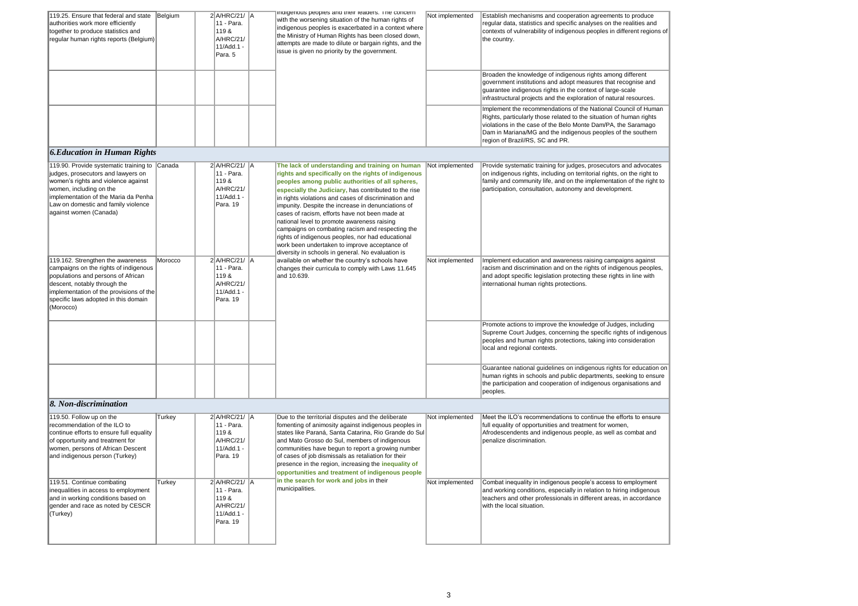| 119.25. Ensure that federal and state<br>authorities work more efficiently<br>together to produce statistics and<br>regular human rights reports (Belgium)                                                                                              | Belgium | $2$ A/HRC/21/ $\parallel$ A<br>11 - Para.<br>119&<br>A/HRC/21/<br>11/Add.1 -<br>Para. 5   | indigenous peoples and their readers. The concern<br>with the worsening situation of the human rights of<br>indigenous peoples is exacerbated in a context where<br>the Ministry of Human Rights has been closed down,<br>attempts are made to dilute or bargain rights, and the<br>issue is given no priority by the government.                                                                                                                                                                                                                                                                                                                 | Not implemented | Establish mechanisms ar<br>regular data, statistics ar<br>contexts of vulnerability o<br>the country.                                     |
|---------------------------------------------------------------------------------------------------------------------------------------------------------------------------------------------------------------------------------------------------------|---------|-------------------------------------------------------------------------------------------|---------------------------------------------------------------------------------------------------------------------------------------------------------------------------------------------------------------------------------------------------------------------------------------------------------------------------------------------------------------------------------------------------------------------------------------------------------------------------------------------------------------------------------------------------------------------------------------------------------------------------------------------------|-----------------|-------------------------------------------------------------------------------------------------------------------------------------------|
|                                                                                                                                                                                                                                                         |         |                                                                                           |                                                                                                                                                                                                                                                                                                                                                                                                                                                                                                                                                                                                                                                   |                 | Broaden the knowledge<br>government institutions a<br>guarantee indigenous rig<br>infrastructural projects ar                             |
|                                                                                                                                                                                                                                                         |         |                                                                                           |                                                                                                                                                                                                                                                                                                                                                                                                                                                                                                                                                                                                                                                   |                 | Implement the recommer<br>Rights, particularly those<br>violations in the case of t<br>Dam in Mariana/MG and<br>region of Brazil/RS, SC a |
| <b>6. Education in Human Rights</b>                                                                                                                                                                                                                     |         |                                                                                           |                                                                                                                                                                                                                                                                                                                                                                                                                                                                                                                                                                                                                                                   |                 |                                                                                                                                           |
| 119.90. Provide systematic training to<br>judges, prosecutors and lawyers on<br>women's rights and violence against<br>women, including on the<br>implementation of the Maria da Penha<br>Law on domestic and family violence<br>against women (Canada) | Canada  | $2$ A/HRC/21/ $\parallel$ A<br>11 - Para.<br>119 &<br>A/HRC/21/<br>11/Add.1 -<br>Para. 19 | The lack of understanding and training on human<br>rights and specifically on the rights of indigenous<br>peoples among public authorities of all spheres,<br>especially the Judiciary, has contributed to the rise<br>in rights violations and cases of discrimination and<br>impunity. Despite the increase in denunciations of<br>cases of racism, efforts have not been made at<br>national level to promote awareness raising<br>campaigns on combating racism and respecting the<br>rights of indigenous peoples, nor had educational<br>work been undertaken to improve acceptance of<br>diversity in schools in general. No evaluation is | Not implemented | Provide systematic traini<br>on indigenous rights, inc<br>family and community life<br>participation, consultatior                        |
| 119.162. Strengthen the awareness<br>campaigns on the rights of indigenous<br>populations and persons of African<br>descent, notably through the<br>implementation of the provisions of the<br>specific laws adopted in this domain<br>(Morocco)        | Morocco | $2$ A/HRC/21/ $\parallel$ A<br>11 - Para.<br>119 &<br>A/HRC/21/<br>11/Add.1 -<br>Para. 19 | available on whether the country's schools have<br>changes their curricula to comply with Laws 11.645<br>and 10.639.                                                                                                                                                                                                                                                                                                                                                                                                                                                                                                                              | Not implemented | Implement education and<br>racism and discriminatior<br>and adopt specific legisla<br>international human right                           |
|                                                                                                                                                                                                                                                         |         |                                                                                           |                                                                                                                                                                                                                                                                                                                                                                                                                                                                                                                                                                                                                                                   |                 | Promote actions to impro<br>Supreme Court Judges,<br>peoples and human right<br>local and regional contex                                 |
|                                                                                                                                                                                                                                                         |         |                                                                                           |                                                                                                                                                                                                                                                                                                                                                                                                                                                                                                                                                                                                                                                   |                 | Guarantee national guide<br>human rights in schools a<br>the participation and coo<br>peoples.                                            |
| 8. Non-discrimination                                                                                                                                                                                                                                   |         |                                                                                           |                                                                                                                                                                                                                                                                                                                                                                                                                                                                                                                                                                                                                                                   |                 |                                                                                                                                           |
| 119.50. Follow up on the<br>recommendation of the ILO to<br>continue efforts to ensure full equality<br>of opportunity and treatment for<br>women, persons of African Descent<br>and indigenous person (Turkey)                                         | Turkey  | $2$ $A/HRC/21/$ $A$<br>11 - Para.<br>119 &<br>A/HRC/21/<br>11/Add.1 -<br>Para. 19         | Due to the territorial disputes and the deliberate<br>fomenting of animosity against indigenous peoples in<br>states like Paraná, Santa Catarina, Rio Grande do Sul<br>and Mato Grosso do Sul, members of indigenous<br>communities have begun to report a growing number<br>of cases of job dismissals as retaliation for their<br>presence in the region, increasing the <i>inequality of</i><br>opportunities and treatment of indigenous people                                                                                                                                                                                               | Not implemented | Meet the ILO's recomme<br>full equality of opportunit<br>Afrodescendents and inc<br>penalize discrimination.                              |
| 119.51. Continue combating<br>inequalities in access to employment<br>and in working conditions based on<br>gender and race as noted by CESCR<br>(Turkey)                                                                                               | Turkey  | $2$ A/HRC/21/ $\parallel$ A<br>11 - Para.<br>119 &<br>A/HRC/21/<br>11/Add.1 -<br>Para. 19 | in the search for work and jobs in their<br>municipalities.                                                                                                                                                                                                                                                                                                                                                                                                                                                                                                                                                                                       | Not implemented | Combat inequality in indi<br>and working conditions,<br>teachers and other profe<br>with the local situation.                             |
|                                                                                                                                                                                                                                                         |         |                                                                                           |                                                                                                                                                                                                                                                                                                                                                                                                                                                                                                                                                                                                                                                   |                 |                                                                                                                                           |

and cooperation agreements to produce nd specific analyses on the realities and of indigenous peoples in different regions of

of indigenous rights among different and adopt measures that recognise and ghts in the context of large-scale ind the exploration of natural resources.

Indations of the National Council of Human e related to the situation of human rights the Belo Monte Dam/PA, the Saramago d the indigenous peoples of the southern and PR.

ing for judges, prosecutors and advocates cluding on territorial rights, on the right to fe, and on the implementation of the right to on, autonomy and development.

d awareness raising campaigns against on and on the rights of indigenous peoples, lation protecting these rights in line with its protections.

ove the knowledge of Judges, including concerning the specific rights of indigenous its protections, taking into consideration xts.

lelines on indigenous rights for education on and public departments, seeking to ensure pperation of indigenous organisations and

Indations to continue the efforts to ensure ities and treatment for women, digenous people, as well as combat and

ligenous people's access to employment especially in relation to hiring indigenous essionals in different areas, in accordance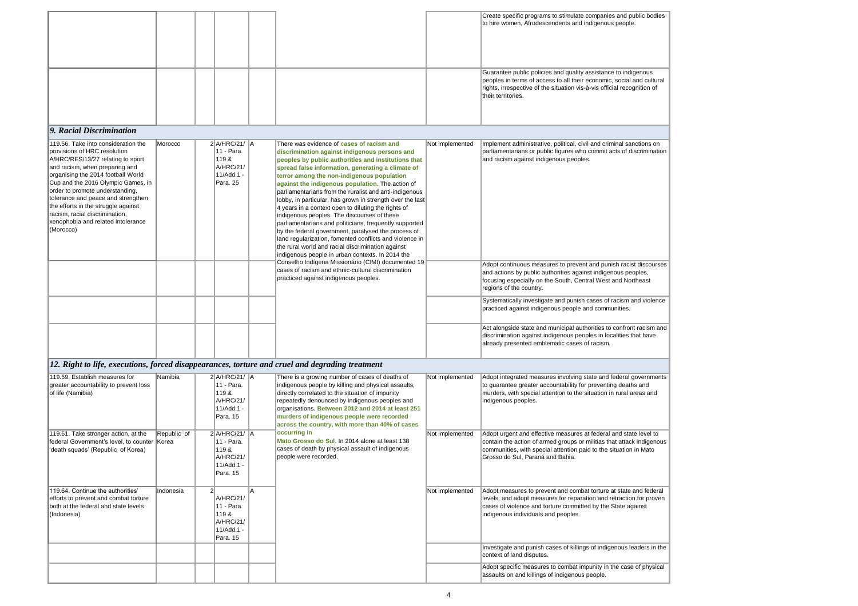|  |  | Create specific programs<br>to hire women, Afrodesce                                                        |
|--|--|-------------------------------------------------------------------------------------------------------------|
|  |  | Guarantee public policies<br>peoples in terms of acces<br>rights, irrespective of the<br>their territories. |

| Create specific programs to stimulate companies and public bodies<br>to hire women, Afrodescendents and indigenous people.                                                                                                                          |  |
|-----------------------------------------------------------------------------------------------------------------------------------------------------------------------------------------------------------------------------------------------------|--|
| Guarantee public policies and quality assistance to indigenous<br>peoples in terms of access to all their economic, social and cultural<br>rights, irrespective of the situation vis-à-vis official recognition of<br>their territories.            |  |
|                                                                                                                                                                                                                                                     |  |
| Implement administrative, political, civil and criminal sanctions on<br>parliamentarians or public figures who commit acts of discrimination<br>and racism against indigenous peoples.                                                              |  |
| Adopt continuous measures to prevent and punish racist discourses                                                                                                                                                                                   |  |
| and actions by public authorities against indigenous peoples,<br>focusing especially on the South, Central West and Northeast<br>regions of the country.                                                                                            |  |
| Systematically investigate and punish cases of racism and violence<br>practiced against indigenous people and communities.                                                                                                                          |  |
| Act alongside state and municipal authorities to confront racism and<br>discrimination against indigenous peoples in localities that have<br>already presented emblematic cases of racism.                                                          |  |
|                                                                                                                                                                                                                                                     |  |
| Adopt integrated measures involving state and federal governments<br>to guarantee greater accountability for preventing deaths and<br>murders, with special attention to the situation in rural areas and<br>indigenous peoples.                    |  |
| Adopt urgent and effective measures at federal and state level to<br>contain the action of armed groups or militias that attack indigenous<br>communities, with special attention paid to the situation in Mato<br>Grosso do Sul, Paraná and Bahia. |  |
| Adopt measures to prevent and combat torture at state and federal<br>levels, and adopt measures for reparation and retraction for proven<br>cases of violence and torture committed by the State against<br>indigenous individuals and peoples.     |  |
| Investigate and punish cases of killings of indigenous leaders in the<br>context of land disputes.                                                                                                                                                  |  |

| 119.56. Take into consideration the<br>provisions of HRC resolution<br>A/HRC/RES/13/27 relating to sport<br>and racism, when preparing and<br>organising the 2014 football World<br>Cup and the 2016 Olympic Games, in<br>order to promote understanding,<br>tolerance and peace and strengthen<br>the efforts in the struggle against<br>racism, racial discrimination,<br>xenophobia and related intolerance<br>(Morocco) | Morocco | $2$ A/HRC/21/ $A$<br>11 - Para.<br>119&<br><b>A/HRC/21/</b><br>11/Add.1 -<br>Para. 25 | There was evidence of <b>cases of racism and</b><br>discrimination against indigenous persons and<br>peoples by public authorities and institutions that<br>spread false information, generating a climate of<br>terror among the non-indigenous population<br>against the indigenous population. The action of<br>parliamentarians from the ruralist and anti-indigenous<br>lobby, in particular, has grown in strength over the last<br>4 years in a context open to diluting the rights of<br>indigenous peoples. The discourses of these<br>parliamentarians and politicians, frequently supported<br>by the federal government, paralysed the process of<br>land regularization, fomented conflicts and violence in<br>the rural world and racial discrimination against<br>indigenous people in urban contexts. In 2014 the<br>Conselho Indígena Missionário (CIMI) documented 19<br>cases of racism and ethnic-cultural discrimination<br>practiced against indigenous peoples. | Not implemented | Implement administrative, political, civil and criminal sanctions on<br>parliamentarians or public figures who commit acts of discrimination<br>and racism against indigenous peoples.<br>Adopt continuous measures to prevent and punish racist discours<br>and actions by public authorities against indigenous peoples,<br>focusing especially on the South, Central West and Northeast<br>regions of the country.<br>Systematically investigate and punish cases of racism and violend<br>practiced against indigenous people and communities.<br>Act alongside state and municipal authorities to confront racism a<br>discrimination against indigenous peoples in localities that have<br>already presented emblematic cases of racism. |
|-----------------------------------------------------------------------------------------------------------------------------------------------------------------------------------------------------------------------------------------------------------------------------------------------------------------------------------------------------------------------------------------------------------------------------|---------|---------------------------------------------------------------------------------------|----------------------------------------------------------------------------------------------------------------------------------------------------------------------------------------------------------------------------------------------------------------------------------------------------------------------------------------------------------------------------------------------------------------------------------------------------------------------------------------------------------------------------------------------------------------------------------------------------------------------------------------------------------------------------------------------------------------------------------------------------------------------------------------------------------------------------------------------------------------------------------------------------------------------------------------------------------------------------------------|-----------------|------------------------------------------------------------------------------------------------------------------------------------------------------------------------------------------------------------------------------------------------------------------------------------------------------------------------------------------------------------------------------------------------------------------------------------------------------------------------------------------------------------------------------------------------------------------------------------------------------------------------------------------------------------------------------------------------------------------------------------------------|
|                                                                                                                                                                                                                                                                                                                                                                                                                             |         |                                                                                       |                                                                                                                                                                                                                                                                                                                                                                                                                                                                                                                                                                                                                                                                                                                                                                                                                                                                                                                                                                                        |                 |                                                                                                                                                                                                                                                                                                                                                                                                                                                                                                                                                                                                                                                                                                                                                |

| 119.59. Establish measures for<br>greater accountability to prevent loss<br>of life (Namibia)                                     | Namibia     | $2$ A/HRC/21/ A<br>11 - Para.<br>119&<br>A/HRC/21/<br>11/Add.1 -<br>Para. 15 | There is a growing number of cases of deaths of<br>indigenous people by killing and physical assaults,<br>directly correlated to the situation of impunity<br>repeatedly denounced by indigenous peoples and<br>organisations. Between 2012 and 2014 at least 251<br>murders of indigenous people were recorded<br>across the country, with more than 40% of cases | Not implemented | Adopt integrated measures involving state and federal governments<br>to guarantee greater accountability for preventing deaths and<br>murders, with special attention to the situation in rural areas and<br>indigenous peoples.                    |
|-----------------------------------------------------------------------------------------------------------------------------------|-------------|------------------------------------------------------------------------------|--------------------------------------------------------------------------------------------------------------------------------------------------------------------------------------------------------------------------------------------------------------------------------------------------------------------------------------------------------------------|-----------------|-----------------------------------------------------------------------------------------------------------------------------------------------------------------------------------------------------------------------------------------------------|
| 119.61. Take stronger action, at the<br>federal Government's level, to counter Korea<br>death squads' (Republic of Korea)         | Republic of | $2$ A/HRC/21/ A<br>11 - Para.<br>119&<br>A/HRC/21/<br>11/Add.1 -<br>Para. 15 | occurring in<br>Mato Grosso do Sul. In 2014 alone at least 138<br>cases of death by physical assault of indigenous<br>people were recorded.                                                                                                                                                                                                                        | Not implemented | Adopt urgent and effective measures at federal and state level to<br>contain the action of armed groups or militias that attack indigenous<br>communities, with special attention paid to the situation in Mato<br>Grosso do Sul, Paraná and Bahia. |
| 119.64. Continue the authorities'<br>efforts to prevent and combat torture<br>both at the federal and state levels<br>(Indonesia) | Indonesia   | A/HRC/21/<br>11 - Para.<br>119&<br>A/HRC/21/<br>11/Add.1 -<br>Para. 15       |                                                                                                                                                                                                                                                                                                                                                                    | Not implemented | Adopt measures to prevent and combat torture at state and federal<br>levels, and adopt measures for reparation and retraction for proven<br>cases of violence and torture committed by the State against<br>indigenous individuals and peoples.     |
|                                                                                                                                   |             |                                                                              |                                                                                                                                                                                                                                                                                                                                                                    |                 | Investigate and punish cases of killings of indigenous leaders in the<br>context of land disputes.                                                                                                                                                  |
|                                                                                                                                   |             |                                                                              |                                                                                                                                                                                                                                                                                                                                                                    |                 | Adopt specific measures to combat impunity in the case of physical<br>assaults on and killings of indigenous people.                                                                                                                                |
|                                                                                                                                   |             |                                                                              |                                                                                                                                                                                                                                                                                                                                                                    |                 |                                                                                                                                                                                                                                                     |

# *12. Right to life, executions, forced disappearances, torture and cruel and degrading treatment*

## *9. Racial Discrimination*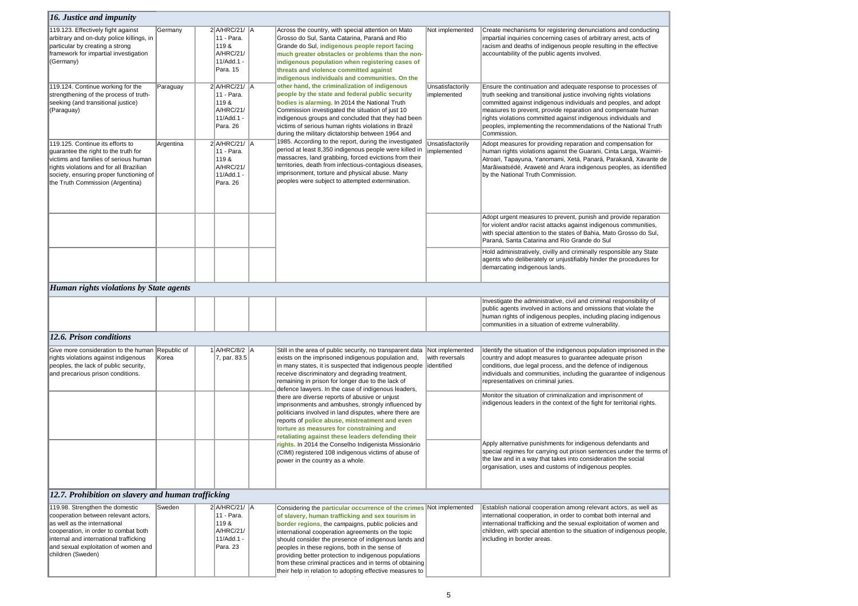| <b>16. Justice and impunity</b>                                                                                                                                                                                                                        |           |                                                                                  |                                                                                                                                                                                                                                                                                                                                                                                                                                                                                                                              |                                                  |                                                                                                                                                                                             |
|--------------------------------------------------------------------------------------------------------------------------------------------------------------------------------------------------------------------------------------------------------|-----------|----------------------------------------------------------------------------------|------------------------------------------------------------------------------------------------------------------------------------------------------------------------------------------------------------------------------------------------------------------------------------------------------------------------------------------------------------------------------------------------------------------------------------------------------------------------------------------------------------------------------|--------------------------------------------------|---------------------------------------------------------------------------------------------------------------------------------------------------------------------------------------------|
| 119.123. Effectively fight against<br>arbitrary and on-duty police killings, in<br>particular by creating a strong<br>framework for impartial investigation<br>(Germany)                                                                               | Germany   | 2 A/HRC/21/ A<br>11 - Para.<br>119&<br>A/HRC/21/<br>11/Add.1 -<br>Para. 15       | Across the country, with special attention on Mato<br>Grosso do Sul, Santa Catarina, Paraná and Rio<br>Grande do Sul, indigenous people report facing<br>much greater obstacles or problems than the non-<br>indigenous population when registering cases of<br>threats and violence committed against<br>indigenous individuals and communities. On the                                                                                                                                                                     | Not implemented                                  | Create mechanisms for re<br>impartial inquiries concer<br>racism and deaths of indi-<br>accountability of the publi                                                                         |
| 119.124. Continue working for the<br>strengthening of the process of truth-<br>seeking (and transitional justice)<br>(Paraguay)                                                                                                                        | Paraguay  | 2 A/HRC/21/ A<br>11 - Para.<br>119&<br>A/HRC/21/<br>11/Add.1 -<br>Para. 26       | other hand, the criminalization of indigenous<br>people by the state and federal public security<br>bodies is alarming. In 2014 the National Truth<br>Commission investigated the situation of just 10<br>indigenous groups and concluded that they had been<br>victims of serious human rights violations in Brazil<br>during the military dictatorship between 1964 and                                                                                                                                                    | Unsatisfactorily<br>implemented                  | Ensure the continuation a<br>truth seeking and transitio<br>committed against indiger<br>measures to prevent, pro<br>rights violations committe<br>peoples, implementing the<br>Commission. |
| 119.125. Continue its efforts to<br>guarantee the right to the truth for<br>victims and families of serious human<br>rights violations and for all Brazilian<br>society, ensuring proper functioning of<br>the Truth Commission (Argentina)            | Argentina | $2$ $A/HRC/21/$ $A$<br>11 - Para.<br>119&<br>A/HRC/21/<br>11/Add.1 -<br>Para. 26 | 1985. According to the report, during the investigated<br>period at least 8,350 indigenous people were killed in<br>massacres, land grabbing, forced evictions from their<br>territories, death from infectious-contagious diseases,<br>imprisonment, torture and physical abuse. Many<br>peoples were subject to attempted extermination.                                                                                                                                                                                   | Unsatisfactorily<br>implemented                  | Adopt measures for provi<br>human rights violations a<br>Atroari, Tapayuna, Yanor<br>Marãiwatsédé, Araweté a<br>by the National Truth Cor                                                   |
|                                                                                                                                                                                                                                                        |           |                                                                                  |                                                                                                                                                                                                                                                                                                                                                                                                                                                                                                                              |                                                  | Adopt urgent measures to<br>for violent and/or racist at<br>with special attention to th<br>Paraná, Santa Catarina a                                                                        |
|                                                                                                                                                                                                                                                        |           |                                                                                  |                                                                                                                                                                                                                                                                                                                                                                                                                                                                                                                              |                                                  | Hold administratively, civi<br>agents who deliberately c<br>demarcating indigenous la                                                                                                       |
| Human rights violations by State agents                                                                                                                                                                                                                |           |                                                                                  |                                                                                                                                                                                                                                                                                                                                                                                                                                                                                                                              |                                                  |                                                                                                                                                                                             |
|                                                                                                                                                                                                                                                        |           |                                                                                  |                                                                                                                                                                                                                                                                                                                                                                                                                                                                                                                              |                                                  | Investigate the administra<br>public agents involved in<br>human rights of indigenou<br>communities in a situation                                                                          |
| 12.6. Prison conditions                                                                                                                                                                                                                                |           |                                                                                  |                                                                                                                                                                                                                                                                                                                                                                                                                                                                                                                              |                                                  |                                                                                                                                                                                             |
| Give more consideration to the human Republic of<br>rights violations against indigenous<br>peoples, the lack of public security,<br>and precarious prison conditions.                                                                                 | Korea     | 1 A/HRC/8/2 A<br>7, par. 83.5                                                    | Still in the area of public security, no transparent data<br>exists on the imprisoned indigenous population and,<br>in many states, it is suspected that indigenous people<br>receive discriminatory and degrading treatment,<br>remaining in prison for longer due to the lack of                                                                                                                                                                                                                                           | Not implemented<br>with reversals<br>lidentified | Identify the situation of th<br>country and adopt measu<br>conditions, due legal prod<br>individuals and communit<br>representatives on crimin                                              |
|                                                                                                                                                                                                                                                        |           |                                                                                  | defence lawyers. In the case of indigenous leaders,<br>there are diverse reports of abusive or unjust<br>imprisonments and ambushes, strongly influenced by<br>politicians involved in land disputes, where there are<br>reports of police abuse, mistreatment and even<br>torture as measures for constraining and<br>retaliating against these leaders defending their                                                                                                                                                     |                                                  | Monitor the situation of cr<br>indigenous leaders in the                                                                                                                                    |
|                                                                                                                                                                                                                                                        |           |                                                                                  | rights. In 2014 the Conselho Indigenista Missionário<br>(CIMI) registered 108 indigenous victims of abuse of<br>power in the country as a whole.                                                                                                                                                                                                                                                                                                                                                                             |                                                  | Apply alternative punishm<br>special regimes for carryi<br>the law and in a way that<br>organisation, uses and cu                                                                           |
| [12.7. Prohibition on slavery and human trafficking]                                                                                                                                                                                                   |           |                                                                                  |                                                                                                                                                                                                                                                                                                                                                                                                                                                                                                                              |                                                  |                                                                                                                                                                                             |
| 119.98. Strengthen the domestic<br>cooperation between relevant actors,<br>as well as the international<br>cooperation, in order to combat both<br>internal and international trafficking<br>and sexual exploitation of women and<br>children (Sweden) | Sweden    | 2 A/HRC/21/ A<br>11 - Para.<br>119&<br>A/HRC/21/<br>11/Add.1 -<br>Para. 23       | Considering the particular occurrence of the crimes Not implemented<br>of slavery, human trafficking and sex tourism in<br>border regions, the campaigns, public policies and<br>international cooperation agreements on the topic<br>should consider the presence of indigenous lands and<br>peoples in these regions, both in the sense of<br>providing better protection to indigenous populations<br>from these criminal practices and in terms of obtaining<br>their help in relation to adopting effective measures to |                                                  | Establish national cooper<br>international cooperation,<br>international trafficking ar<br>children, with special atte<br>including in border areas.                                        |

egistering denunciations and conducting ining cases of arbitrary arrest, acts of ligenous people resulting in the effective lic agents involved.

and adequate response to processes of ional justice involving rights violations enous individuals and peoples, and adopt ovide reparation and compensate human ed against indigenous individuals and he recommendations of the National Truth

viding reparation and compensation for against the Guarani, Cinta Larga, Waimirimami, Xetá, Panará, Parakanã, Xavante de and Arara indigenous peoples, as identified mmission.

to prevent, punish and provide reparation ittacks against indigenous communities, the states of Bahia, Mato Grosso do Sul, and Rio Grande do Sul

villy and criminally responsible any State or unjustifiably hinder the procedures for lands.

ative, civil and criminal responsibility of n actions and omissions that violate the ous peoples, including placing indigenous on of extreme vulnerability.

he indigenous population imprisoned in the ures to guarantee adequate prison cess, and the defence of indigenous ities, including the guarantee of indigenous nal juries.

riminalization and imprisonment of icontext of the fight for territorial rights.

ments for indigenous defendants and  $\kappa$ ing out prison sentences under the terms of  $\kappa$ t takes into consideration the social ustoms of indigenous peoples.

ration among relevant actors, as well as , in order to combat both internal and ind the sexual exploitation of women and ention to the situation of indigenous people,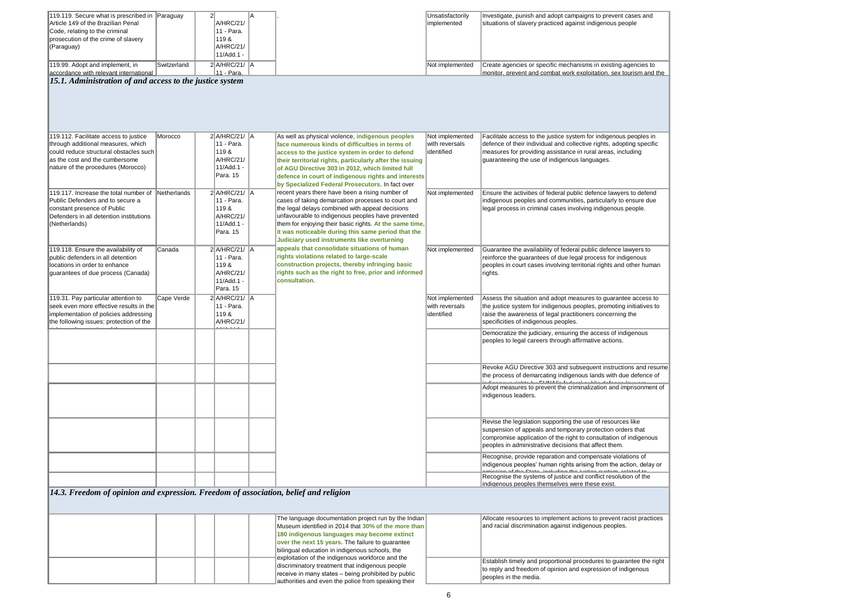| 119.119. Secure what is prescribed in Paraguay |             |                     |  |
|------------------------------------------------|-------------|---------------------|--|
| Article 149 of the Brazilian Penal             |             | A/HRC/21/           |  |
| Code, relating to the criminal                 |             | 11 - Para.          |  |
| prosecution of the crime of slavery            |             | 119 &               |  |
| (Paraguay)                                     |             | A/HRC/21/           |  |
|                                                |             | 11/Add.1 -          |  |
| 119.99. Adopt and implement, in                | Switzerland | $2$ $A/HRC/21/$ $A$ |  |
| accordance with relevant international         |             | ∥11 - Para.         |  |
| $\frac{1}{2}$                                  |             |                     |  |

| Investigate, punish and adopt campaigns to prevent cases and                                                                                                                                                                                              |  |
|-----------------------------------------------------------------------------------------------------------------------------------------------------------------------------------------------------------------------------------------------------------|--|
| situations of slavery practiced against indigenous people                                                                                                                                                                                                 |  |
| Create agencies or specific mechanisms in existing agencies to<br>monitor. prevent and combat work exploitation. sex tourism and the                                                                                                                      |  |
|                                                                                                                                                                                                                                                           |  |
| Facilitate access to the justice system for indigenous peoples in<br>defence of their individual and collective rights, adopting specific<br>measures for providing assistance in rural areas, including<br>guaranteeing the use of indigenous languages. |  |
| Ensure the activities of federal public defence lawyers to defend<br>indigenous peoples and communities, particularly to ensure due<br>legal process in criminal cases involving indigenous people.                                                       |  |
| Guarantee the availability of federal public defence lawyers to<br>reinforce the guarantees of due legal process for indigenous<br>peoples in court cases involving territorial rights and other human<br>rights.                                         |  |
| Assess the situation and adopt measures to guarantee access to<br>the justice system for indigenous peoples, promoting initiatives to<br>raise the awareness of legal practitioners concerning the<br>specificities of indigenous peoples.                |  |
| Democratize the judiciary, ensuring the access of indigenous<br>peoples to legal careers through affirmative actions.                                                                                                                                     |  |
| Revoke AGU Directive 303 and subsequent instructions and resume<br>the process of demarcating indigenous lands with due defence of<br>$L_{\text{L}}$ $\Gamma$ $\Gamma$ $\Gamma$ $\Gamma$ $\Gamma$ $\Gamma$ $\Gamma$<br>$\mathbf{r}_{-}$                   |  |
| Adopt measures to prevent the criminalization and imprisonment of<br>indigenous leaders.                                                                                                                                                                  |  |

> lement actions to prevent racist practices against indigenous peoples.

**Example 2** ortional procedures to guarantee the right pinion and expression of indigenous

| 119.112. Facilitate access to justice<br>through additional measures, which    | Morocco            | $2$ A/HRC/21/ $\parallel$ A<br>11 - Para. | As well as physical violence, indigenous peoples                                                            | Not implemented<br>with reversals | Facilitate access to the justice system for indigenous peoples in                                                                                                                        |
|--------------------------------------------------------------------------------|--------------------|-------------------------------------------|-------------------------------------------------------------------------------------------------------------|-----------------------------------|------------------------------------------------------------------------------------------------------------------------------------------------------------------------------------------|
| could reduce structural obstacles such                                         |                    | 119 &                                     | face numerous kinds of difficulties in terms of                                                             | lidentified                       | defence of their individual and collective rights, adopting specific<br>measures for providing assistance in rural areas, including                                                      |
| as the cost and the cumbersome                                                 |                    | A/HRC/21/                                 | access to the justice system in order to defend<br>their territorial rights, particularly after the issuing |                                   | guaranteeing the use of indigenous languages.                                                                                                                                            |
| nature of the procedures (Morocco)                                             |                    | 11/Add.1 -                                | of AGU Directive 303 in 2012, which limited full                                                            |                                   |                                                                                                                                                                                          |
|                                                                                |                    | Para. 15                                  |                                                                                                             |                                   |                                                                                                                                                                                          |
|                                                                                |                    |                                           | defence in court of indigenous rights and interests<br>by Specialized Federal Prosecutors. In fact over     |                                   |                                                                                                                                                                                          |
| 119.117. Increase the total number of                                          | <b>Netherlands</b> | $2$ A/HRC/21/ A                           | recent years there have been a rising number of                                                             | Not implemented                   | Ensure the activities of federal public defence lawyers to defend                                                                                                                        |
| Public Defenders and to secure a                                               |                    | 11 - Para.                                | cases of taking demarcation processes to court and                                                          |                                   | indigenous peoples and communities, particularly to ensure due                                                                                                                           |
| constant presence of Public                                                    |                    | 119&                                      | the legal delays combined with appeal decisions                                                             |                                   | legal process in criminal cases involving indigenous people.                                                                                                                             |
| Defenders in all detention institutions                                        |                    | A/HRC/21/                                 | unfavourable to indigenous peoples have prevented                                                           |                                   |                                                                                                                                                                                          |
| (Netherlands)                                                                  |                    | 11/Add.1 -                                | them for enjoying their basic rights. At the same time,                                                     |                                   |                                                                                                                                                                                          |
|                                                                                |                    | Para. 15                                  | it was noticeable during this same period that the                                                          |                                   |                                                                                                                                                                                          |
|                                                                                |                    |                                           | Judiciary used instruments like overturning                                                                 |                                   |                                                                                                                                                                                          |
| 119.118. Ensure the availability of                                            | Canada             | 2 A/HRC/21/ A                             | appeals that consolidate situations of human                                                                | Not implemented                   | Guarantee the availability of federal public defence lawyers to                                                                                                                          |
| public defenders in all detention                                              |                    | 11 - Para.                                | rights violations related to large-scale                                                                    |                                   | reinforce the guarantees of due legal process for indigenous                                                                                                                             |
| locations in order to enhance                                                  |                    | 119 &                                     | construction projects, thereby infringing basic                                                             |                                   | peoples in court cases involving territorial rights and other huma                                                                                                                       |
| guarantees of due process (Canada)                                             |                    | A/HRC/21/                                 | rights such as the right to free, prior and informed                                                        |                                   | rights.                                                                                                                                                                                  |
|                                                                                |                    | 11/Add.1 -                                | consultation.                                                                                               |                                   |                                                                                                                                                                                          |
|                                                                                |                    | Para. 15                                  |                                                                                                             |                                   |                                                                                                                                                                                          |
| 119.31. Pay particular attention to<br>seek even more effective results in the | Cape Verde         | 2 A/HRC/21/ A<br>11 - Para.               |                                                                                                             | Not implemented<br>with reversals | Assess the situation and adopt measures to guarantee access to<br>the justice system for indigenous peoples, promoting initiatives to                                                    |
| implementation of policies addressing                                          |                    | 119 &                                     |                                                                                                             | lidentified                       | raise the awareness of legal practitioners concerning the                                                                                                                                |
| the following issues: protection of the                                        |                    | <b>A/HRC/21/</b>                          |                                                                                                             |                                   | specificities of indigenous peoples.                                                                                                                                                     |
|                                                                                |                    |                                           |                                                                                                             |                                   |                                                                                                                                                                                          |
|                                                                                |                    |                                           |                                                                                                             |                                   | Democratize the judiciary, ensuring the access of indigenous<br>peoples to legal careers through affirmative actions.                                                                    |
|                                                                                |                    |                                           |                                                                                                             |                                   |                                                                                                                                                                                          |
|                                                                                |                    |                                           |                                                                                                             |                                   | Revoke AGU Directive 303 and subsequent instructions and rest                                                                                                                            |
|                                                                                |                    |                                           |                                                                                                             |                                   | the process of demarcating indigenous lands with due defence o<br>al<br>aliwa w <u>a wa wiadata daya FUTATA Da ƙasala wa ciki a shaƙa</u>                                                |
|                                                                                |                    |                                           |                                                                                                             |                                   | Adopt measures to prevent the criminalization and imprisonment                                                                                                                           |
|                                                                                |                    |                                           |                                                                                                             |                                   | indigenous leaders.                                                                                                                                                                      |
|                                                                                |                    |                                           |                                                                                                             |                                   | Revise the legislation supporting the use of resources like                                                                                                                              |
|                                                                                |                    |                                           |                                                                                                             |                                   | suspension of appeals and temporary protection orders that<br>compromise application of the right to consultation of indigenous<br>peoples in administrative decisions that affect them. |
|                                                                                |                    |                                           |                                                                                                             |                                   | Recognise, provide reparation and compensate violations of                                                                                                                               |
|                                                                                |                    |                                           |                                                                                                             |                                   | indigenous peoples' human rights arising from the action, delay of<br>astasta a al de a Odada - fa abraha a de a friadura arraba as astada al de                                         |
|                                                                                |                    |                                           |                                                                                                             |                                   | Recognise the systems of justice and conflict resolution of the<br>indigenous peoples themselves were these exist.                                                                       |

*15.1. Administration of and access to the justice system*

|  | The language documentation project run by the Indian    | Allocate resources to impl                               |
|--|---------------------------------------------------------|----------------------------------------------------------|
|  | Museum identified in 2014 that 30% of the more than     | and racial discrimination a                              |
|  | 180 indigenous languages may become extinct             |                                                          |
|  | <b>over the next 15 years.</b> The failure to guarantee |                                                          |
|  | bilingual education in indigenous schools, the          |                                                          |
|  | exploitation of the indigenous workforce and the        |                                                          |
|  | discriminatory treatment that indigenous people         | Establish timely and prope<br>to reply and freedom of op |
|  | receive in many states – being prohibited by public     | peoples in the media.                                    |
|  | authorities and even the police from speaking their     |                                                          |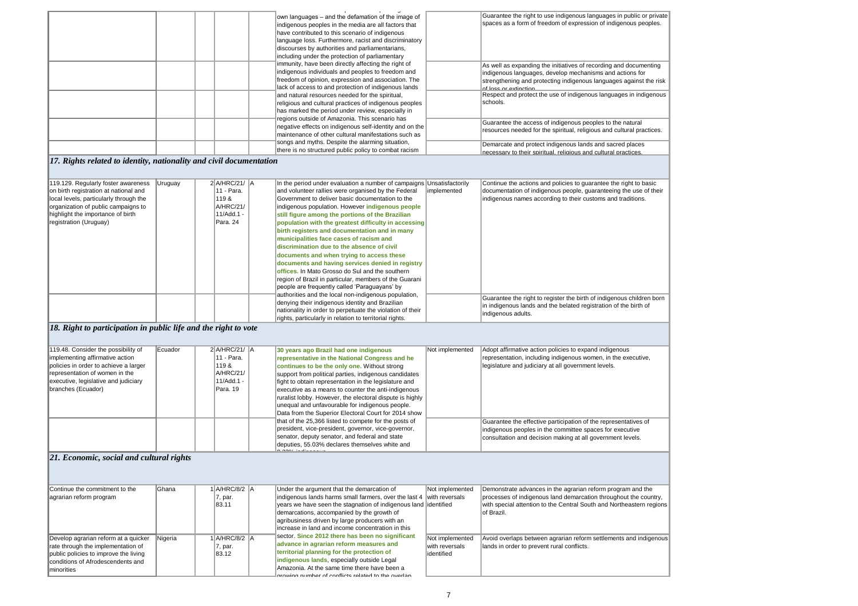|                                                                   | own languages – and the defamation of the image of<br>indigenous peoples in the media are all factors that<br>have contributed to this scenario of indigenous<br>language loss. Furthermore, racist and discriminatory<br>discourses by authorities and parliamentarians,<br>including under the protection of parliamentary                                                              | Guarantee the right to use<br>spaces as a form of freed                                                                                             |
|-------------------------------------------------------------------|-------------------------------------------------------------------------------------------------------------------------------------------------------------------------------------------------------------------------------------------------------------------------------------------------------------------------------------------------------------------------------------------|-----------------------------------------------------------------------------------------------------------------------------------------------------|
|                                                                   | immunity, have been directly affecting the right of<br>indigenous individuals and peoples to freedom and<br>freedom of opinion, expression and association. The<br>lack of access to and protection of indigenous lands<br>and natural resources needed for the spiritual,<br>religious and cultural practices of indigenous peoples<br>has marked the period under review, especially in | As well as expanding the<br>indigenous languages, de<br>strengthening and protect<br>of loss or extinction<br>Respect and protect the u<br>schools. |
|                                                                   | regions outside of Amazonia. This scenario has<br>negative effects on indigenous self-identity and on the<br>maintenance of other cultural manifestations such as                                                                                                                                                                                                                         | Guarantee the access of i<br>resources needed for the                                                                                               |
| 17 Rights related to identity nationality and civil documentation | songs and myths. Despite the alarming situation,<br>there is no structured public policy to combat racism                                                                                                                                                                                                                                                                                 | Demarcate and protect in<br>necessary to their spiritua                                                                                             |

| 119.48. Consider the possibility of<br>Implementing affirmative action<br>policies in order to achieve a larger<br>representation of women in the<br>executive, legislative and judiciary<br>branches (Ecuador) | Ecuador                       | $2$ $A/HRC/21/$ $A$<br>11 - Para.<br>119 &<br>A/HRC/21/<br>11/Add.1 -<br>Para. 19 | 30 years ago Brazil had one indigenous<br>representative in the National Congress and he<br>continues to be the only one. Without strong<br>support from political parties, indigenous candidates<br>fight to obtain representation in the legislature and<br>executive as a means to counter the anti-indigenous<br>ruralist lobby. However, the electoral dispute is highly<br>unequal and unfavourable for indigenous people.<br>Data from the Superior Electoral Court for 2014 show | Not implemented | Adopt affirmative action p<br>representation, including<br>legislature and judiciary a |
|-----------------------------------------------------------------------------------------------------------------------------------------------------------------------------------------------------------------|-------------------------------|-----------------------------------------------------------------------------------|------------------------------------------------------------------------------------------------------------------------------------------------------------------------------------------------------------------------------------------------------------------------------------------------------------------------------------------------------------------------------------------------------------------------------------------------------------------------------------------|-----------------|----------------------------------------------------------------------------------------|
|                                                                                                                                                                                                                 |                               |                                                                                   | that of the 25,366 listed to compete for the posts of<br>president, vice-president, governor, vice-governor,<br>senator, deputy senator, and federal and state<br>deputies, 55.03% declares themselves white and<br>0.0001                                                                                                                                                                                                                                                               |                 | Guarantee the effective p<br>indigenous peoples in the<br>consultation and decisior    |
| . . <del>.</del>                                                                                                                                                                                                | $\mathbf{r}$ . $\mathbf{r}$ . |                                                                                   |                                                                                                                                                                                                                                                                                                                                                                                                                                                                                          |                 |                                                                                        |

| 119.129. Regularly foster awareness    | Uruguay | $2$ $A/HRC/21/$ $A$ | In the period under evaluation a number of campaigns Unsatisfactorily |             | Continue the actions and  |
|----------------------------------------|---------|---------------------|-----------------------------------------------------------------------|-------------|---------------------------|
| on birth registration at national and  |         | 11 - Para.          | and volunteer rallies were organised by the Federal                   | implemented | documentation of indiger  |
| local levels, particularly through the |         | 119 &               | Government to deliver basic documentation to the                      |             | indigenous names accor    |
| organization of public campaigns to    |         | A/HRC/21/           | indigenous population. However <i>indigenous</i> people               |             |                           |
| highlight the importance of birth      |         | 11/Add.1 -          | still figure among the portions of the Brazilian                      |             |                           |
| registration (Uruguay)                 |         | Para. 24            | population with the greatest difficulty in accessing                  |             |                           |
|                                        |         |                     | birth registers and documentation and in many                         |             |                           |
|                                        |         |                     | municipalities face cases of racism and                               |             |                           |
|                                        |         |                     | discrimination due to the absence of civil                            |             |                           |
|                                        |         |                     | documents and when trying to access these                             |             |                           |
|                                        |         |                     | documents and having services denied in registry                      |             |                           |
|                                        |         |                     | offices. In Mato Grosso do Sul and the southern                       |             |                           |
|                                        |         |                     | region of Brazil in particular, members of the Guarani                |             |                           |
|                                        |         |                     | people are frequently called 'Paraguayans' by                         |             |                           |
|                                        |         |                     | authorities and the local non-indigenous population,                  |             | Guarantee the right to re |
|                                        |         |                     | denying their indigenous identity and Brazilian                       |             | in indigenous lands and   |
|                                        |         |                     | nationality in order to perpetuate the violation of their             |             | indigenous adults.        |
|                                        |         |                     | rights, particularly in relation to territorial rights.               |             |                           |

### *21. Economic, social and cultural rights*

| Continue the commitment to the                                                                                                                                          | ∥Ghana  | A/HRC/8/2 A                     | Under the argument that the demarcation of                                                                                                                                                                                                                                                    | Not implemented                                  | Demonstrate advances i                                              |
|-------------------------------------------------------------------------------------------------------------------------------------------------------------------------|---------|---------------------------------|-----------------------------------------------------------------------------------------------------------------------------------------------------------------------------------------------------------------------------------------------------------------------------------------------|--------------------------------------------------|---------------------------------------------------------------------|
| agrarian reform program                                                                                                                                                 |         | 7, par.<br>83.11                | indigenous lands harms small farmers, over the last 4<br>years we have seen the stagnation of indigenous land identified<br>demarcations, accompanied by the growth of<br>agribusiness driven by large producers with an<br>increase in land and income concentration in this                 | with reversals                                   | processes of indigenous<br>with special attention to<br>lof Brazil. |
| Develop agrarian reform at a quicker<br>rate through the implementation of<br>public policies to improve the living<br>conditions of Afrodescendents and<br>Iminorities | Nigeria | A/HRC/8/2 A<br>7, par.<br>83.12 | sector. Since 2012 there has been no significant<br>advance in agrarian reform measures and<br>territorial planning for the protection of<br>indigenous lands, especially outside Legal<br>Amazonia. At the same time there have been a<br>growing number of conflicts related to the overlap | Not implemented<br>with reversals<br>lidentified | Avoid overlaps between<br>lands in order to prevent                 |

*17. Rights related to identity, nationality and civil documentation*

#### *18. Right to participation in public life and the right to vote*

e indigenous languages in public or private dom of expression of indigenous peoples.

initiatives of recording and documenting evelop mechanisms and actions for ting indigenous languages against the risk

use of indigenous languages in indigenous

indigenous peoples to the natural spiritual, religious and cultural practices.

digenous lands and sacred places al. religious and cultural practices.

d policies to guarantee the right to basic nous people, guaranteeing the use of their rding to their customs and traditions.

egister the birth of indigenous children born I the belated registration of the birth of

policies to expand indigenous **indigenous women, in the executive,** at all government levels.

participation of the representatives of ne committee spaces for executive on making at all government levels.

in the agrarian reform program and the s land demarcation throughout the country, the Central South and Northeastern regions

agrarian reform settlements and indigenous t rural conflicts.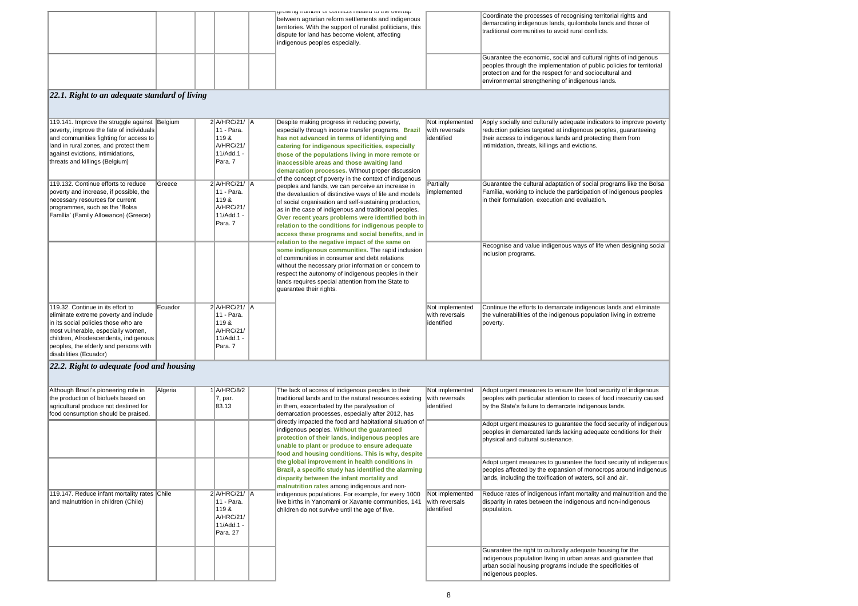| Coordinate the processes of recognising territorial rights and<br>demarcating indigenous lands, quilombola lands and those of<br>traditional communities to avoid rural conflicts.                                                                        |
|-----------------------------------------------------------------------------------------------------------------------------------------------------------------------------------------------------------------------------------------------------------|
| Guarantee the economic, social and cultural rights of indigenous<br>peoples through the implementation of public policies for territorial<br>protection and for the respect for and sociocultural and<br>environmental strengthening of indigenous lands. |
|                                                                                                                                                                                                                                                           |
| Apply socially and culturally adequate indicators to improve poverty<br>reduction policies targeted at indigenous peoples, guaranteeing<br>their access to indigenous lands and protecting them from<br>intimidation, threats, killings and evictions.    |
| Guarantee the cultural adaptation of social programs like the Bolsa<br>Família, working to include the participation of indigenous peoples<br>in their formulation, execution and evaluation.                                                             |
| Recognise and value indigenous ways of life when designing social<br>inclusion programs.                                                                                                                                                                  |
| Continue the efforts to demarcate indigenous lands and eliminate<br>the vulnerabilities of the indigenous population living in extreme<br>poverty.                                                                                                        |
|                                                                                                                                                                                                                                                           |
| Adopt urgent measures to ensure the food security of indigenous<br>peoples with particular attention to cases of food insecurity caused<br>by the State's failure to demarcate indigenous lands.                                                          |
| Adopt urgent measures to guarantee the food security of indigenous<br>peoples in demarcated lands lacking adequate conditions for their<br>physical and cultural sustenance.                                                                              |
| Adopt urgent measures to guarantee the food security of indigenous<br>peoples affected by the expansion of monocrops around indigenous<br>lands, including the toxification of waters, soil and air.                                                      |
| Reduce rates of indigenous infant mortality and malnutrition and the<br>disparity in rates between the indigenous and non-indigenous<br>population.                                                                                                       |
| Guarantee the right to culturally adequate housing for the                                                                                                                                                                                                |
| indigenous population living in urban areas and guarantee that<br>urban social housing programs include the specificities of<br>indigenous neoples                                                                                                        |

| 119.141. Improve the struggle against Belgium<br>poverty, improve the fate of individuals<br>and communities fighting for access to<br>land in rural zones, and protect them<br>against evictions, intimidations,<br>threats and killings (Belgium)<br>119.132. Continue efforts to reduce<br>poverty and increase, if possible, the<br>necessary resources for current<br>programmes, such as the 'Bolsa<br>Família' (Family Allowance) (Greece) | Greece  | $2$ $A/HRC/21/$ $A$<br>11 - Para.<br>119&<br>A/HRC/21/<br>11/Add.1 -<br>Para. 7<br>$2$ A/HRC/21/ $A$<br>11 - Para.<br>119&<br>A/HRC/21/<br>11/Add.1 -<br>Para. 7 | Despite making progress in reducing poverty,<br>especially through income transfer programs, Brazil<br>has not advanced in terms of identifying and<br>catering for indigenous specificities, especially<br>those of the populations living in more remote or<br>inaccessible areas and those awaiting land<br>demarcation processes. Without proper discussion<br>of the concept of poverty in the context of indigenous<br>peoples and lands, we can perceive an increase in<br>the devaluation of distinctive ways of life and models<br>of social organisation and self-sustaining production,<br>as in the case of indigenous and traditional peoples.<br>Over recent years problems were identified both in<br>relation to the conditions for indigenous people to<br>access these programs and social benefits, and in<br>relation to the negative impact of the same on<br>some indigenous communities. The rapid inclusion<br>of communities in consumer and debt relations<br>without the necessary prior information or concern to<br>respect the autonomy of indigenous peoples in their<br>lands requires special attention from the State to<br>guarantee their rights. | Not implemented<br>with reversals<br>identified<br>Partially<br>implemented | Apply socially and culturally adequate indicat<br>reduction policies targeted at indigenous peo<br>their access to indigenous lands and protectir<br>intimidation, threats, killings and evictions.<br>Guarantee the cultural adaptation of social pr<br>Família, working to include the participation o<br>in their formulation, execution and evaluation.<br>Recognise and value indigenous ways of life<br>inclusion programs. |
|---------------------------------------------------------------------------------------------------------------------------------------------------------------------------------------------------------------------------------------------------------------------------------------------------------------------------------------------------------------------------------------------------------------------------------------------------|---------|------------------------------------------------------------------------------------------------------------------------------------------------------------------|---------------------------------------------------------------------------------------------------------------------------------------------------------------------------------------------------------------------------------------------------------------------------------------------------------------------------------------------------------------------------------------------------------------------------------------------------------------------------------------------------------------------------------------------------------------------------------------------------------------------------------------------------------------------------------------------------------------------------------------------------------------------------------------------------------------------------------------------------------------------------------------------------------------------------------------------------------------------------------------------------------------------------------------------------------------------------------------------------------------------------------------------------------------------------------------|-----------------------------------------------------------------------------|-----------------------------------------------------------------------------------------------------------------------------------------------------------------------------------------------------------------------------------------------------------------------------------------------------------------------------------------------------------------------------------------------------------------------------------|
| 119.32. Continue in its effort to<br>eliminate extreme poverty and include<br>in its social policies those who are<br>most vulnerable, especially women,<br>children, Afrodescendents, indigenous<br>peoples, the elderly and persons with<br>disabilities (Ecuador)                                                                                                                                                                              | Ecuador | $2$ A/HRC/21/ $\parallel$ A<br>11 - Para.<br>119&<br>A/HRC/21/<br>11/Add.1 -<br>Para. 7                                                                          |                                                                                                                                                                                                                                                                                                                                                                                                                                                                                                                                                                                                                                                                                                                                                                                                                                                                                                                                                                                                                                                                                                                                                                                       | Not implemented<br>with reversals<br>lidentified                            | Continue the efforts to demarcate indigenous<br>the vulnerabilities of the indigenous populatio<br>poverty.                                                                                                                                                                                                                                                                                                                       |

|  |  | Al AMITA TRITING A CONTINUES TRIANGLY TO THE CARDINAL<br>between agrarian reform settlements and indigenous<br>territories. With the support of ruralist politicians, this<br>dispute for land has become violent, affecting<br>indigenous peoples especially. | Coordinate the processes of recognising territory<br>demarcating indigenous lands, quilombola lan<br>traditional communities to avoid rural conflicts.                                                |
|--|--|----------------------------------------------------------------------------------------------------------------------------------------------------------------------------------------------------------------------------------------------------------------|-------------------------------------------------------------------------------------------------------------------------------------------------------------------------------------------------------|
|  |  |                                                                                                                                                                                                                                                                | Guarantee the economic, social and cultural ri<br>peoples through the implementation of public p<br>protection and for the respect for and sociocult<br>environmental strengthening of indigenous lan |

| Although Brazil's pioneering role in<br>the production of biofuels based on<br>agricultural produce not destined for<br>food consumption should be praised, | Algeria | 1A/HRC/8/2<br>$ 7$ , par.<br>83.13        | The lack of access of indigenous peoples to their<br>traditional lands and to the natural resources existing<br>in them, exacerbated by the paralysation of<br>demarcation processes, especially after 2012, has<br>directly impacted the food and habitational situation of<br>indigenous peoples. Without the guaranteed<br>protection of their lands, indigenous peoples are<br>unable to plant or produce to ensure adequate | Not implemented<br>with reversals<br>identified  | Adopt urgent measures to ensure<br>peoples with particular attention t<br>by the State's failure to demarcate<br>Adopt urgent measures to guarar<br>peoples in demarcated lands lack<br>physical and cultural sustenance. |
|-------------------------------------------------------------------------------------------------------------------------------------------------------------|---------|-------------------------------------------|----------------------------------------------------------------------------------------------------------------------------------------------------------------------------------------------------------------------------------------------------------------------------------------------------------------------------------------------------------------------------------------------------------------------------------|--------------------------------------------------|---------------------------------------------------------------------------------------------------------------------------------------------------------------------------------------------------------------------------|
| 119.147. Reduce infant mortality rates Chile<br>and malnutrition in children (Chile)                                                                        |         | $2$ $A/HRC/21/$ $A$<br>11 - Para.<br>119& | food and housing conditions. This is why, despite<br>the global improvement in health conditions in<br>Brazil, a specific study has identified the alarming<br>disparity between the infant mortality and<br>malnutrition rates among indigenous and non-<br>indigenous populations. For example, for every 1000<br>live births in Yanomami or Xavante communities, 141<br>children do not survive until the age of five.        | Not implemented<br>with reversals<br>lidentified | Adopt urgent measures to guarar<br>peoples affected by the expansio<br>lands, including the toxification of<br>Reduce rates of indigenous infan<br>disparity in rates between the ind<br>population.                      |
|                                                                                                                                                             |         | A/HRC/21/<br>11/Add.1 -<br>Para. 27       |                                                                                                                                                                                                                                                                                                                                                                                                                                  |                                                  | Guarantee the right to culturally a<br>indigenous population living in ur<br>urban social housing programs in<br>indigenous peoples.                                                                                      |

## *22.1. Right to an adequate standard of living*

# *22.2. Right to adequate food and housing*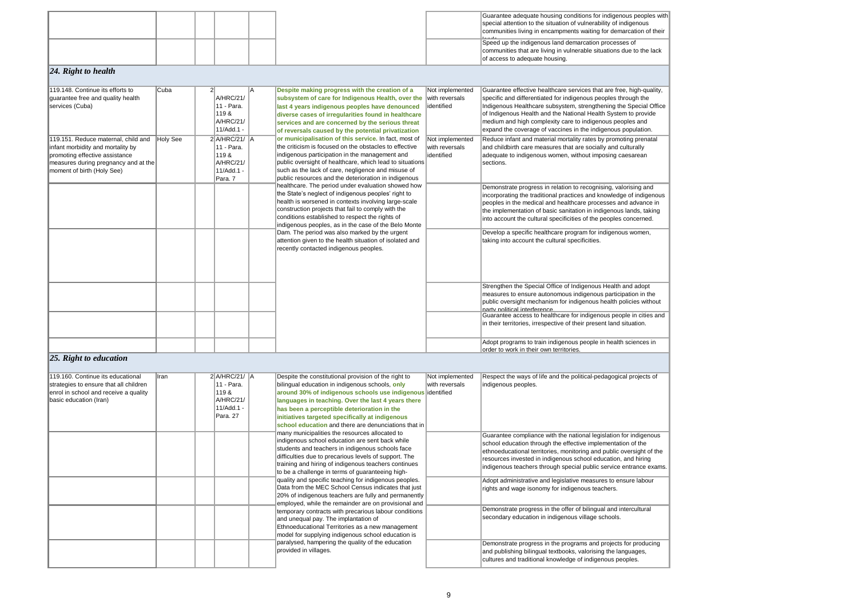| 119.148. Continue its efforts to<br>guarantee free and quality health<br>services (Cuba)<br>119.151. Reduce maternal, child and<br>infant morbidity and mortality by | Cuba<br>Holy See | $\overline{2}$<br>A/HRC/21/<br>11 - Para.<br>119&<br>A/HRC/21/<br>11/Add.1 -<br>2 A/HRC/21/ A<br>11 - Para. | A | Despite making progress with the creation of a<br>subsystem of care for Indigenous Health, over the with reversals<br>last 4 years indigenous peoples have denounced<br>diverse cases of irregularities found in healthcare<br>services and are concerned by the serious threat<br>of reversals caused by the potential privatization<br>or municipalisation of this service. In fact, most of<br>the criticism is focused on the obstacles to effective | Not implemented<br>lidentified<br>Not implemented<br>with reversals | Guarantee effective health<br>specific and differentiated<br>Indigenous Healthcare sub<br>of Indigenous Health and t<br>medium and high complexi<br>expand the coverage of va<br>Reduce infant and materia<br>and childbirth care measur |
|----------------------------------------------------------------------------------------------------------------------------------------------------------------------|------------------|-------------------------------------------------------------------------------------------------------------|---|----------------------------------------------------------------------------------------------------------------------------------------------------------------------------------------------------------------------------------------------------------------------------------------------------------------------------------------------------------------------------------------------------------------------------------------------------------|---------------------------------------------------------------------|------------------------------------------------------------------------------------------------------------------------------------------------------------------------------------------------------------------------------------------|
| promoting effective assistance<br>measures during pregnancy and at the<br>moment of birth (Holy See)                                                                 |                  | 119&<br>A/HRC/21/<br>11/Add.1 -<br>Para. 7                                                                  |   | indigenous participation in the management and<br>public oversight of healthcare, which lead to situations<br>such as the lack of care, negligence and misuse of<br>public resources and the deterioration in indigenous                                                                                                                                                                                                                                 | lidentified                                                         | adequate to indigenous wo<br>sections.                                                                                                                                                                                                   |
|                                                                                                                                                                      |                  |                                                                                                             |   | healthcare. The period under evaluation showed how<br>the State's neglect of indigenous peoples' right to<br>health is worsened in contexts involving large-scale<br>construction projects that fail to comply with the<br>conditions established to respect the rights of<br>indigenous peoples, as in the case of the Belo Monte                                                                                                                       |                                                                     | Demonstrate progress in re<br>incorporating the traditiona<br>peoples in the medical and<br>the implementation of basi<br>into account the cultural sp                                                                                   |
|                                                                                                                                                                      |                  |                                                                                                             |   | Dam. The period was also marked by the urgent<br>attention given to the health situation of isolated and<br>recently contacted indigenous peoples.                                                                                                                                                                                                                                                                                                       |                                                                     | Develop a specific healthc<br>taking into account the cul                                                                                                                                                                                |
|                                                                                                                                                                      |                  |                                                                                                             |   |                                                                                                                                                                                                                                                                                                                                                                                                                                                          |                                                                     | Strengthen the Special Off<br>measures to ensure auton<br>public oversight mechanis<br>narty nolitical interference                                                                                                                      |
|                                                                                                                                                                      |                  |                                                                                                             |   |                                                                                                                                                                                                                                                                                                                                                                                                                                                          |                                                                     | Guarantee access to healt<br>in their territories, irrespec                                                                                                                                                                              |
|                                                                                                                                                                      |                  |                                                                                                             |   |                                                                                                                                                                                                                                                                                                                                                                                                                                                          |                                                                     | Adopt programs to train in<br>order to work in their own t                                                                                                                                                                               |

| 119.160. Continue its educational      | Ilran | $2$ $A/HRC/21/$ $A$ | Despite the constitutional provision of the right to       | Not implemented | Respect the ways of life   |
|----------------------------------------|-------|---------------------|------------------------------------------------------------|-----------------|----------------------------|
| strategies to ensure that all children |       | 11 - Para.          | bilingual education in indigenous schools, only            | with reversals  | indigenous peoples.        |
| enrol in school and receive a quality  |       | 119 &               | around 30% of indigenous schools use indigenous identified |                 |                            |
| basic education (Iran)                 |       | A/HRC/21/           | languages in teaching. Over the last 4 years there         |                 |                            |
|                                        |       | 11/Add.1 -          | has been a perceptible deterioration in the                |                 |                            |
|                                        |       | Para. 27            | initiatives targeted specifically at indigenous            |                 |                            |
|                                        |       |                     | school education and there are denunciations that in       |                 |                            |
|                                        |       |                     | many municipalities the resources allocated to             |                 | Guarantee compliance v     |
|                                        |       |                     | indigenous school education are sent back while            |                 | school education throug    |
|                                        |       |                     | students and teachers in indigenous schools face           |                 | ethnoeducational territor  |
|                                        |       |                     | difficulties due to precarious levels of support. The      |                 | resources invested in ind  |
|                                        |       |                     | training and hiring of indigenous teachers continues       |                 | indigenous teachers thro   |
|                                        |       |                     | to be a challenge in terms of guaranteeing high-           |                 |                            |
|                                        |       |                     | quality and specific teaching for indigenous peoples.      |                 | Adopt administrative and   |
|                                        |       |                     | Data from the MEC School Census indicates that just        |                 | rights and wage isonomy    |
|                                        |       |                     | 20% of indigenous teachers are fully and permanently       |                 |                            |
|                                        |       |                     | employed, while the remainder are on provisional and       |                 |                            |
|                                        |       |                     | temporary contracts with precarious labour conditions      |                 | Demonstrate progress in    |
|                                        |       |                     | and unequal pay. The implantation of                       |                 | secondary education in i   |
|                                        |       |                     | Ethnoeducational Territories as a new management           |                 |                            |
|                                        |       |                     | model for supplying indigenous school education is         |                 |                            |
|                                        |       |                     | paralysed, hampering the quality of the education          |                 | Demonstrate progress in    |
|                                        |       |                     | provided in villages.                                      |                 | and publishing bilingual   |
|                                        |       |                     |                                                            |                 | cultures and traditional k |
|                                        |       |                     |                                                            |                 |                            |

#### *25. Right to education*

|  |  |  | Guarantee adequate hous       |
|--|--|--|-------------------------------|
|  |  |  | special attention to the site |
|  |  |  | communities living in enca    |
|  |  |  | لمقصصا                        |
|  |  |  | Speed up the indigenous       |
|  |  |  | communities that are living   |
|  |  |  | of access to adequate hou     |
|  |  |  |                               |

#### *24. Right to health*

sing conditions for indigenous peoples with tuation of vulnerability of indigenous ampments waiting for demarcation of their

land demarcation processes of ig in vulnerable situations due to the lack using.

thcare services that are free, high-quality, d for indigenous peoples through the ubsystem, strengthening the Special Office the National Health System to provide exity care to indigenous peoples and vaccines in the indigenous population.

ial mortality rates by promoting prenatal ures that are socially and culturally women, without imposing caesarean

relation to recognising, valorising and ial practices and knowledge of indigenous nd healthcare processes and advance in sic sanitation in indigenous lands, taking specificities of the peoples concerned.

care program for indigenous women, ultural specificities.

ffice of Indigenous Health and adopt momous indigenous participation in the ism for indigenous health policies without

Ithcare for indigenous people in cities and ective of their present land situation.

ndigenous people in health sciences in of territories.

and the political-pedagogical projects of

with the national legislation for indigenous th the effective implementation of the ries, monitoring and public oversight of the digenous school education, and hiring ough special public service entrance exams.

d legislative measures to ensure labour y for indigenous teachers.

The offer of bilingual and intercultural indigenous village schools.

n the programs and projects for producing textbooks, valorising the languages, knowledge of indigenous peoples.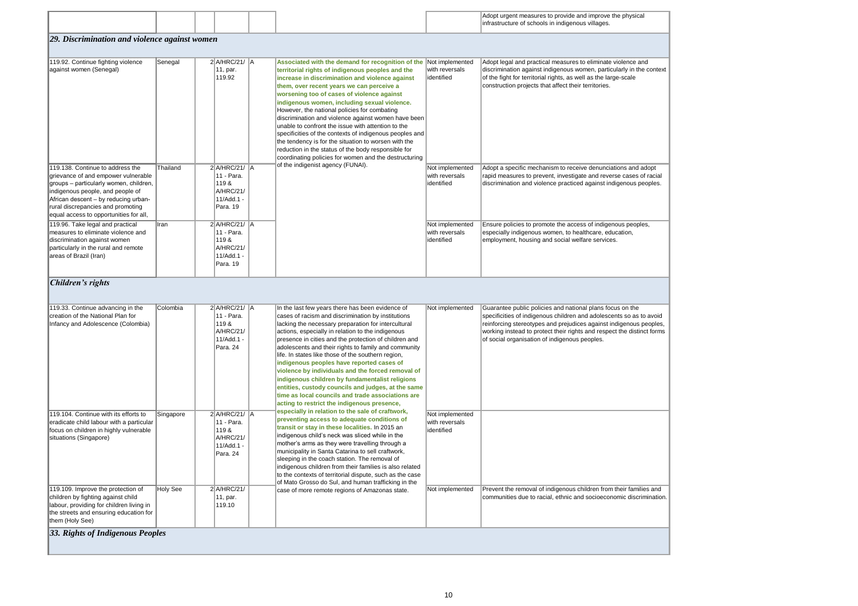| Adopt urgent measures to provide and improve the physical |
|-----------------------------------------------------------|
| infrastructure of schools in indigenous villages.         |

measures to eliminate violence and digenous women, particularly in the context rights, as well as the large-scale t affect their territories.

hism to receive denunciations and adopt ent, investigate and reverse cases of racial nce practiced against indigenous peoples.

ote the access of indigenous peoples, omen, to healthcare, education, nd social welfare services.

s and national plans focus on the us children and adolescents so as to avoid and prejudices against indigenous peoples, ct their rights and respect the distinct forms indigenous peoples.

ndigenous children from their families and al, ethnic and socioeconomic discrimination.

|                                                                                                                                                                                                                                                                              |                 |                                                                                          |  |                                                                                                                                                                                                                                                                                                                                                                                                                                                                                                                                                                                                                                                                                                                                                                                                                                                                                                                                                                                                                                                                                                                                                                                                                                                                                                            |                                                  | Adopt urgent measures to provide and improve<br>infrastructure of schools in indigenous villages.                                                                                                                                                          |
|------------------------------------------------------------------------------------------------------------------------------------------------------------------------------------------------------------------------------------------------------------------------------|-----------------|------------------------------------------------------------------------------------------|--|------------------------------------------------------------------------------------------------------------------------------------------------------------------------------------------------------------------------------------------------------------------------------------------------------------------------------------------------------------------------------------------------------------------------------------------------------------------------------------------------------------------------------------------------------------------------------------------------------------------------------------------------------------------------------------------------------------------------------------------------------------------------------------------------------------------------------------------------------------------------------------------------------------------------------------------------------------------------------------------------------------------------------------------------------------------------------------------------------------------------------------------------------------------------------------------------------------------------------------------------------------------------------------------------------------|--------------------------------------------------|------------------------------------------------------------------------------------------------------------------------------------------------------------------------------------------------------------------------------------------------------------|
| [29. Discrimination and violence against women                                                                                                                                                                                                                               |                 |                                                                                          |  |                                                                                                                                                                                                                                                                                                                                                                                                                                                                                                                                                                                                                                                                                                                                                                                                                                                                                                                                                                                                                                                                                                                                                                                                                                                                                                            |                                                  |                                                                                                                                                                                                                                                            |
| 119.92. Continue fighting violence<br>against women (Senegal)                                                                                                                                                                                                                | Senegal         | $2$ $A/HRC/21/$ $A$<br>11, par.<br>119.92                                                |  | Associated with the demand for recognition of the<br>territorial rights of indigenous peoples and the<br>increase in discrimination and violence against<br>them, over recent years we can perceive a<br>worsening too of cases of violence against<br>indigenous women, including sexual violence.<br>However, the national policies for combating<br>discrimination and violence against women have been<br>unable to confront the issue with attention to the<br>specificities of the contexts of indigenous peoples and<br>the tendency is for the situation to worsen with the<br>reduction in the status of the body responsible for<br>coordinating policies for women and the destructuring<br>of the indigenist agency (FUNAI).                                                                                                                                                                                                                                                                                                                                                                                                                                                                                                                                                                   | Not implemented<br>with reversals<br>lidentified | Adopt legal and practical measures to eliminate<br>discrimination against indigenous women, parti<br>of the fight for territorial rights, as well as the la<br>construction projects that affect their territories                                         |
| 119.138. Continue to address the<br>grievance of and empower vulnerable<br>groups - particularly women, children,<br>indigenous people, and people of<br>African descent - by reducing urban-<br>rural discrepancies and promoting<br>equal access to opportunities for all, | Thailand        | 2 A/HRC/21/ A<br>11 - Para.<br>119 &<br>A/HRC/21/<br>11/Add.1 -<br>Para. 19              |  |                                                                                                                                                                                                                                                                                                                                                                                                                                                                                                                                                                                                                                                                                                                                                                                                                                                                                                                                                                                                                                                                                                                                                                                                                                                                                                            | Not implemented<br>with reversals<br>lidentified | Adopt a specific mechanism to receive denunc<br>rapid measures to prevent, investigate and reve<br>discrimination and violence practiced against ir                                                                                                        |
| 119.96. Take legal and practical<br>measures to eliminate violence and<br>discrimination against women<br>particularly in the rural and remote<br>areas of Brazil (Iran)                                                                                                     | Iran            | 2 A/HRC/21/ A<br>11 - Para.<br>119 &<br><b>A/HRC/21/</b><br>11/Add.1 -<br>Para. 19       |  |                                                                                                                                                                                                                                                                                                                                                                                                                                                                                                                                                                                                                                                                                                                                                                                                                                                                                                                                                                                                                                                                                                                                                                                                                                                                                                            | Not implemented<br>with reversals<br>identified  | Ensure policies to promote the access of indige<br>especially indigenous women, to healthcare, eq<br>employment, housing and social welfare servic                                                                                                         |
| Children's rights                                                                                                                                                                                                                                                            |                 |                                                                                          |  |                                                                                                                                                                                                                                                                                                                                                                                                                                                                                                                                                                                                                                                                                                                                                                                                                                                                                                                                                                                                                                                                                                                                                                                                                                                                                                            |                                                  |                                                                                                                                                                                                                                                            |
| 119.33. Continue advancing in the<br>creation of the National Plan for<br>Infancy and Adolescence (Colombia)                                                                                                                                                                 | Colombia        | $2$ $A/HRC/21/$ $A$<br>11 - Para.<br>119 &<br><b>A/HRC/21/</b><br>11/Add.1 -<br>Para. 24 |  | In the last few years there has been evidence of<br>cases of racism and discrimination by institutions<br>lacking the necessary preparation for intercultural<br>actions, especially in relation to the indigenous<br>presence in cities and the protection of children and<br>adolescents and their rights to family and community<br>life. In states like those of the southern region,<br>indigenous peoples have reported cases of<br>violence by individuals and the forced removal of<br>indigenous children by fundamentalist religions<br>entities, custody councils and judges, at the same<br>time as local councils and trade associations are<br>acting to restrict the indigenous presence,<br>especially in relation to the sale of craftwork,<br>preventing access to adequate conditions of<br>transit or stay in these localities. In 2015 an<br>indigenous child's neck was sliced while in the<br>mother's arms as they were travelling through a<br>municipality in Santa Catarina to sell craftwork,<br>sleeping in the coach station. The removal of<br>indigenous children from their families is also related<br>to the contexts of territorial dispute, such as the case<br>of Mato Grosso do Sul, and human trafficking in the<br>case of more remote regions of Amazonas state. | Not implemented                                  | Guarantee public policies and national plans fo<br>specificities of indigenous children and adoles<br>reinforcing stereotypes and prejudices against<br>working instead to protect their rights and respe<br>of social organisation of indigenous peoples. |
| 119.104. Continue with its efforts to<br>eradicate child labour with a particular<br>focus on children in highly vulnerable<br>situations (Singapore)                                                                                                                        | Singapore       | 2 A/HRC/21/ A<br>11 - Para.<br>119 &<br><b>A/HRC/21/</b><br>11/Add.1 -<br>Para. 24       |  |                                                                                                                                                                                                                                                                                                                                                                                                                                                                                                                                                                                                                                                                                                                                                                                                                                                                                                                                                                                                                                                                                                                                                                                                                                                                                                            | Not implemented<br>with reversals<br>identified  |                                                                                                                                                                                                                                                            |
| 119.109. Improve the protection of<br>children by fighting against child<br>labour, providing for children living in<br>the streets and ensuring education for<br>them (Holy See)                                                                                            | <b>Holy See</b> | $2$ A/HRC/21/<br>11, par.<br>119.10                                                      |  |                                                                                                                                                                                                                                                                                                                                                                                                                                                                                                                                                                                                                                                                                                                                                                                                                                                                                                                                                                                                                                                                                                                                                                                                                                                                                                            | Not implemented                                  | Prevent the removal of indigenous children fror<br>communities due to racial, ethnic and socioeco                                                                                                                                                          |

#### *33. Rights of Indigenous Peoples*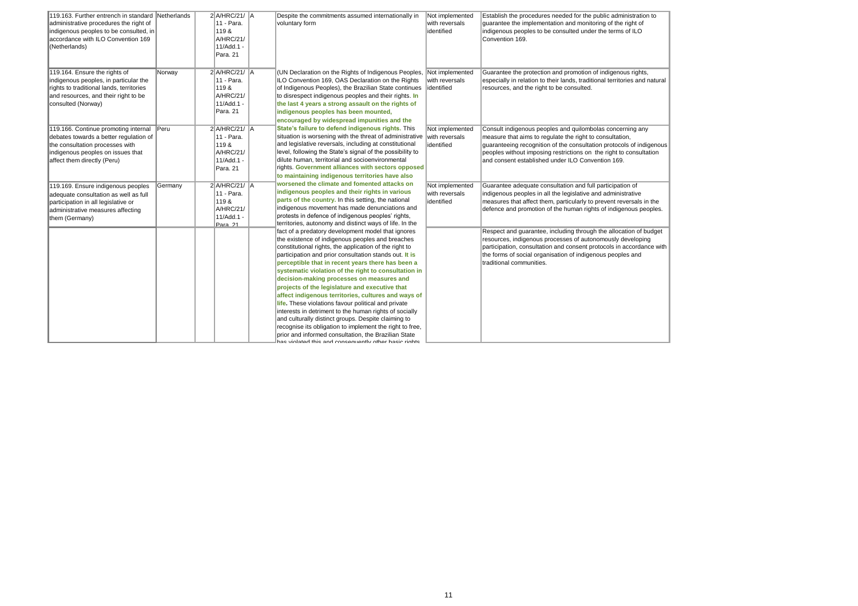| 119.163. Further entrench in standard Netherlands |              | 2 A/HRC/21/ A               | Despite the commitments assumed internationally in        | Not implemented | Establish the procedures    |
|---------------------------------------------------|--------------|-----------------------------|-----------------------------------------------------------|-----------------|-----------------------------|
| administrative procedures the right of            |              | 11 - Para.                  | voluntary form                                            | with reversals  | guarantee the implemen      |
| indigenous peoples to be consulted, in            |              | 119 &                       |                                                           | identified      | indigenous peoples to be    |
| accordance with ILO Convention 169                |              | A/HRC/21/                   |                                                           |                 | Convention 169.             |
| (Netherlands)                                     |              | 11/Add.1 -                  |                                                           |                 |                             |
|                                                   |              | Para. 21                    |                                                           |                 |                             |
| 119.164. Ensure the rights of                     | Norway       | $2$ A/HRC/21/ $\parallel$ A | (UN Declaration on the Rights of Indigenous Peoples,      | Not implemented | Guarantee the protectior    |
| indigenous peoples, in particular the             |              | 11 - Para.                  | ILO Convention 169, OAS Declaration on the Rights         | with reversals  | especially in relation to t |
| rights to traditional lands, territories          |              | 119 &                       | of Indigenous Peoples), the Brazilian State continues     | identified      | resources, and the right    |
| and resources, and their right to be              |              | A/HRC/21/                   | to disrespect indigenous peoples and their rights. In     |                 |                             |
| consulted (Norway)                                |              | 11/Add.1 -                  | the last 4 years a strong assault on the rights of        |                 |                             |
|                                                   |              | Para. 21                    | indigenous peoples has been mounted,                      |                 |                             |
|                                                   |              |                             | encouraged by widespread impunities and the               |                 |                             |
| 119.166. Continue promoting internal              | $\Vert$ Peru | 2 A/HRC/21/ A               | State's failure to defend indigenous rights. This         | Not implemented | Consult indigenous peop     |
| debates towards a better regulation of            |              | 11 - Para.                  | situation is worsening with the threat of administrative  | with reversals  | measure that aims to reg    |
| the consultation processes with                   |              | 119 &                       | and legislative reversals, including at constitutional    | identified      | guaranteeing recognitior    |
| indigenous peoples on issues that                 |              | A/HRC/21/                   | level, following the State's signal of the possibility to |                 | peoples without imposing    |
| affect them directly (Peru)                       |              | 11/Add.1 -                  | dilute human, territorial and socioenvironmental          |                 | and consent established     |
|                                                   |              | Para. 21                    | rights. Government alliances with sectors opposed         |                 |                             |
|                                                   |              |                             | to maintaining indigenous territories have also           |                 |                             |
| 119.169. Ensure indigenous peoples                | Germany      | $2$ A/HRC/21/ $\vert$ A     | worsened the climate and fomented attacks on              | Not implemented | Guarantee adequate cor      |
| adequate consultation as well as full             |              | 11 - Para.                  | indigenous peoples and their rights in various            | with reversals  | indigenous peoples in al    |
| participation in all legislative or               |              | 119 &                       | parts of the country. In this setting, the national       | identified      | measures that affect the    |
| administrative measures affecting                 |              | A/HRC/21/                   | indigenous movement has made denunciations and            |                 | defence and promotion o     |
| them (Germany)                                    |              | 11/Add.1 -                  | protests in defence of indigenous peoples' rights,        |                 |                             |
|                                                   |              | Para. 21                    | territories, autonomy and distinct ways of life. In the   |                 |                             |
|                                                   |              |                             | fact of a predatory development model that ignores        |                 | Respect and guarantee,      |
|                                                   |              |                             | the existence of indigenous peoples and breaches          |                 | resources, indigenous pi    |
|                                                   |              |                             | constitutional rights, the application of the right to    |                 | participation, consultatio  |
|                                                   |              |                             | participation and prior consultation stands out. It is    |                 | the forms of social organ   |
|                                                   |              |                             | perceptible that in recent years there has been a         |                 | traditional communities.    |
|                                                   |              |                             | systematic violation of the right to consultation in      |                 |                             |
|                                                   |              |                             | decision-making processes on measures and                 |                 |                             |
|                                                   |              |                             | projects of the legislature and executive that            |                 |                             |
|                                                   |              |                             | affect indigenous territories, cultures and ways of       |                 |                             |
|                                                   |              |                             | life. These violations favour political and private       |                 |                             |
|                                                   |              |                             | interests in detriment to the human rights of socially    |                 |                             |
|                                                   |              |                             | and culturally distinct groups. Despite claiming to       |                 |                             |
|                                                   |              |                             | recognise its obligation to implement the right to free,  |                 |                             |
|                                                   |              |                             | prior and informed consultation, the Brazilian State      |                 |                             |
|                                                   |              |                             | and winterface this and consequently other hasin rights   |                 |                             |

es needed for the public administration to ntation and monitoring of the right of be consulted under the terms of ILO

on and promotion of indigenous rights, their lands, traditional territories and natural t to be consulted.

ples and quilombolas concerning any gulate the right to consultation,  $\overline{\mathsf{on}}$  of the consultation protocols of indigenous ng restrictions on the right to consultation Junder ILO Convention 169.

nsultation and full participation of all the legislative and administrative em, particularly to prevent reversals in the of the human rights of indigenous peoples.

, including through the allocation of budget rocesses of autonomously developing on and consent protocols in accordance with nisation of indigenous peoples and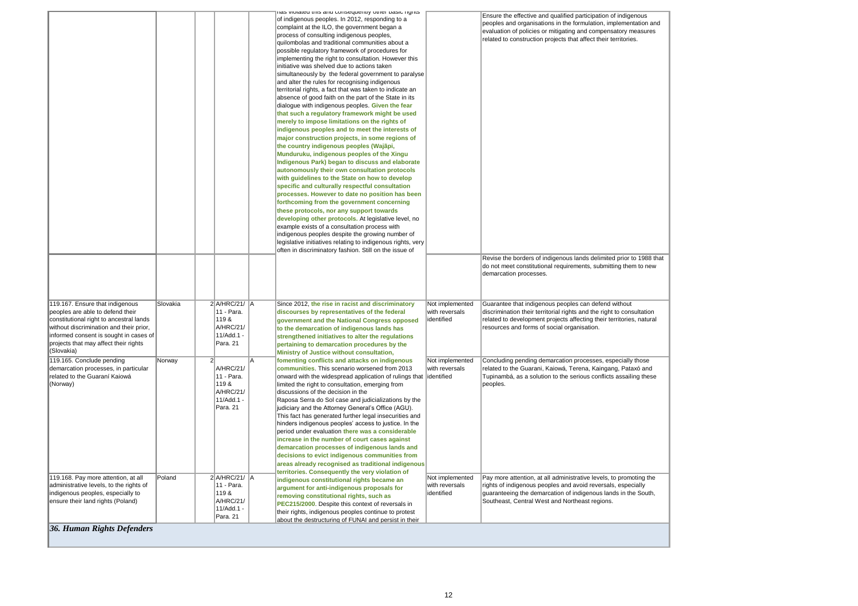*36. Human Rights Defenders*

|                                                                                                                                                                                                                                                            |          |                |                                                                                  |    | וום שוטומוכע נוווס מווע נטווסכעעכוווון טנווכו גומאנט וועוונס<br>of indigenous peoples. In 2012, responding to a                                                                                                                                                                                                                                                                                                                                                                                                                                                                                                                                                                                                                                                                                                                                                                                                                                                                                                                                                                                                                                                                                                                                                                                                                                                                                                                                                                                                                         |                                                  | Ensure the effective and<br>peoples and organisatior                                                             |
|------------------------------------------------------------------------------------------------------------------------------------------------------------------------------------------------------------------------------------------------------------|----------|----------------|----------------------------------------------------------------------------------|----|-----------------------------------------------------------------------------------------------------------------------------------------------------------------------------------------------------------------------------------------------------------------------------------------------------------------------------------------------------------------------------------------------------------------------------------------------------------------------------------------------------------------------------------------------------------------------------------------------------------------------------------------------------------------------------------------------------------------------------------------------------------------------------------------------------------------------------------------------------------------------------------------------------------------------------------------------------------------------------------------------------------------------------------------------------------------------------------------------------------------------------------------------------------------------------------------------------------------------------------------------------------------------------------------------------------------------------------------------------------------------------------------------------------------------------------------------------------------------------------------------------------------------------------------|--------------------------------------------------|------------------------------------------------------------------------------------------------------------------|
|                                                                                                                                                                                                                                                            |          |                |                                                                                  |    | complaint at the ILO, the government began a<br>process of consulting indigenous peoples,<br>quilombolas and traditional communities about a<br>possible regulatory framework of procedures for<br>implementing the right to consultation. However this<br>initiative was shelved due to actions taken<br>simultaneously by the federal government to paralyse<br>and alter the rules for recognising indigenous<br>territorial rights, a fact that was taken to indicate an<br>absence of good faith on the part of the State in its<br>dialogue with indigenous peoples. Given the fear<br>that such a regulatory framework might be used<br>merely to impose limitations on the rights of<br>indigenous peoples and to meet the interests of<br>major construction projects, in some regions of<br>the country indigenous peoples (Wajãpi,<br>Munduruku, indigenous peoples of the Xingu<br>Indigenous Park) began to discuss and elaborate<br>autonomously their own consultation protocols<br>with guidelines to the State on how to develop<br>specific and culturally respectful consultation<br>processes. However to date no position has been<br>forthcoming from the government concerning<br>these protocols, nor any support towards<br>developing other protocols. At legislative level, no<br>example exists of a consultation process with<br>indigenous peoples despite the growing number of<br>legislative initiatives relating to indigenous rights, very<br>often in discriminatory fashion. Still on the issue of |                                                  | evaluation of policies or<br>related to construction p<br>Revise the borders of ind<br>do not meet constitutiona |
|                                                                                                                                                                                                                                                            |          |                |                                                                                  |    |                                                                                                                                                                                                                                                                                                                                                                                                                                                                                                                                                                                                                                                                                                                                                                                                                                                                                                                                                                                                                                                                                                                                                                                                                                                                                                                                                                                                                                                                                                                                         |                                                  | demarcation processes.                                                                                           |
| 119.167. Ensure that indigenous<br>peoples are able to defend their<br>constitutional right to ancestral lands<br>without discrimination and their prior,<br>informed consent is sought in cases of<br>projects that may affect their rights<br>(Slovakia) | Slovakia |                | 2 A/HRC/21/ A<br>11 - Para.<br>119&<br>A/HRC/21/<br>11/Add.1 -<br>Para, 21       |    | Since 2012, the rise in racist and discriminatory<br>discourses by representatives of the federal<br>government and the National Congress opposed<br>to the demarcation of indigenous lands has<br>strengthened initiatives to alter the regulations<br>pertaining to demarcation procedures by the<br>Ministry of Justice without consultation,                                                                                                                                                                                                                                                                                                                                                                                                                                                                                                                                                                                                                                                                                                                                                                                                                                                                                                                                                                                                                                                                                                                                                                                        | Not implemented<br>with reversals<br>identified  | Guarantee that indigeno<br>discrimination their territ<br>related to development p<br>resources and forms of s   |
| 119.165. Conclude pending<br>demarcation processes, in particular<br>related to the Guaraní Kaiowá<br>(Norway)                                                                                                                                             | Norway   | 2 <sup>1</sup> | A/HRC/21/<br>11 - Para.<br>119&<br>A/HRC/21/<br>11/Add.1 -<br>Para. 21           | ΙA | fomenting conflicts and attacks on indigenous<br>communities. This scenario worsened from 2013<br>onward with the widespread application of rulings that<br>limited the right to consultation, emerging from<br>discussions of the decision in the<br>Raposa Serra do Sol case and judicializations by the<br>judiciary and the Attorney General's Office (AGU).<br>This fact has generated further legal insecurities and<br>hinders indigenous peoples' access to justice. In the<br>period under evaluation there was a considerable<br>increase in the number of court cases against<br>demarcation processes of indigenous lands and<br>decisions to evict indigenous communities from<br>areas already recognised as traditional indigenous<br>territories. Consequently the very violation of                                                                                                                                                                                                                                                                                                                                                                                                                                                                                                                                                                                                                                                                                                                                    | Not implemented<br>with reversals<br>lidentified | Concluding pending den<br>related to the Guarani, K<br>Tupinambá, as a solutior<br>peoples.                      |
| 119.168. Pay more attention, at all<br>administrative levels, to the rights of<br>indigenous peoples, especially to<br>ensure their land rights (Poland)                                                                                                   | Poland   |                | $2$ $A/HRC/21/$ $A$<br>11 - Para.<br>119&<br>A/HRC/21/<br>11/Add.1 -<br>Para. 21 |    | indigenous constitutional rights became an<br>argument for anti-indigenous proposals for<br>removing constitutional rights, such as<br>PEC215/2000. Despite this context of reversals in<br>their rights, indigenous peoples continue to protest                                                                                                                                                                                                                                                                                                                                                                                                                                                                                                                                                                                                                                                                                                                                                                                                                                                                                                                                                                                                                                                                                                                                                                                                                                                                                        | Not implemented<br>with reversals<br>identified  | Pay more attention, at al<br>rights of indigenous peo<br>guaranteeing the demard<br>Southeast, Central West      |
| $26$ $H_{\text{tumau}}$ $D_{\text{in}}$ $h_{\text{in}}$ $D_{\text{e}}$ $f_{\text{out}}$ $J_{\text{out}}$                                                                                                                                                   |          |                |                                                                                  |    | about the destructuring of FUNAI and persist in their                                                                                                                                                                                                                                                                                                                                                                                                                                                                                                                                                                                                                                                                                                                                                                                                                                                                                                                                                                                                                                                                                                                                                                                                                                                                                                                                                                                                                                                                                   |                                                  |                                                                                                                  |

Ensure the effective and qualified participation of indigenous peoples and organisations in the formulation, implementation and mitigating and compensatory measures rojects that affect their territories.

> digenous lands delimited prior to 1988 that hal requirements, submitting them to new

bus peoples can defend without itorial rights and the right to consultation projects affecting their territories, natural social organisation.

narcation processes, especially those Kaiowá, Terena, Kaingang, Pataxó and on to the serious conflicts assailing these

Il administrative levels, to promoting the  $p$ les and avoid reversals, especially cation of indigenous lands in the South, t and Northeast regions.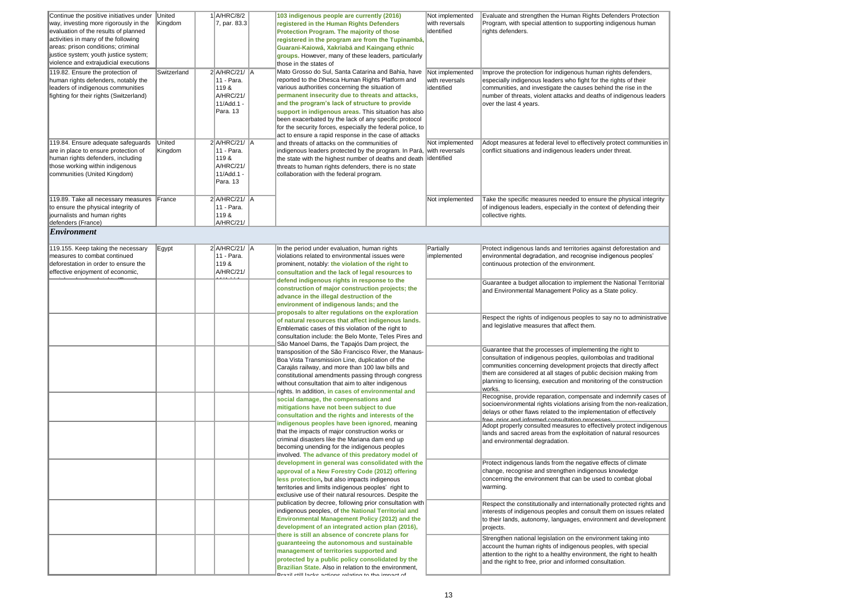| Evaluate and strengthen the Human Rights Defenders Protection<br>Program, with special attention to supporting indigenous human<br>rights defenders.                                                                                                                                                                                                  |
|-------------------------------------------------------------------------------------------------------------------------------------------------------------------------------------------------------------------------------------------------------------------------------------------------------------------------------------------------------|
| Improve the protection for indigenous human rights defenders,<br>especially indigenous leaders who fight for the rights of their<br>communities, and investigate the causes behind the rise in the<br>number of threats, violent attacks and deaths of indigenous leaders<br>over the last 4 years.                                                   |
| Adopt measures at federal level to effectively protect communities in<br>conflict situations and indigenous leaders under threat.                                                                                                                                                                                                                     |
| Take the specific measures needed to ensure the physical integrity<br>of indigenous leaders, especially in the context of defending their<br>collective rights.                                                                                                                                                                                       |
|                                                                                                                                                                                                                                                                                                                                                       |
| Protect indigenous lands and territories against deforestation and<br>environmental degradation, and recognise indigenous peoples'<br>continuous protection of the environment.                                                                                                                                                                       |
| Guarantee a budget allocation to implement the National Territorial<br>and Environmental Management Policy as a State policy.                                                                                                                                                                                                                         |
| Respect the rights of indigenous peoples to say no to administrative<br>and legislative measures that affect them.                                                                                                                                                                                                                                    |
| Guarantee that the processes of implementing the right to<br>consultation of indigenous peoples, quilombolas and traditional<br>communities concerning development projects that directly affect<br>them are considered at all stages of public decision making from<br>planning to licensing, execution and monitoring of the construction<br>works. |
| Recognise, provide reparation, compensate and indemnify cases of<br>socioenvironmental rights violations arising from the non-realization,<br>delays or other flaws related to the implementation of effectively<br>free nrior and informed consultation processes                                                                                    |
| Adopt properly consulted measures to effectively protect indigenous<br>lands and sacred areas from the exploitation of natural resources<br>and environmental degradation.                                                                                                                                                                            |
| Protect indigenous lands from the negative effects of climate<br>change, recognise and strengthen indigenous knowledge<br>concerning the environment that can be used to combat global<br>warming.                                                                                                                                                    |
| Respect the constitutionally and internationally protected rights and<br>interests of indigenous peoples and consult them on issues related<br>to their lands, autonomy, languages, environment and development<br>projects.                                                                                                                          |
| Strengthen national legislation on the environment taking into<br>account the human rights of indigenous peoples, with special<br>attention to the right to a healthy environment, the right to health<br>and the right to free, prior and informed consultation.                                                                                     |
|                                                                                                                                                                                                                                                                                                                                                       |

| Continue the positive initiatives under<br>way, investing more rigorously in the<br>evaluation of the results of planned<br>activities in many of the following<br>areas: prison conditions; criminal<br>justice system; youth justice system;<br>violence and extrajudicial executions<br>119.82. Ensure the protection of<br>human rights defenders, notably the<br>leaders of indigenous communities<br>fighting for their rights (Switzerland) | United<br>Kingdom<br>Switzerland | $1$ $A/HRC/8/2$<br>7, par. 83.3<br>$2$ A/HRC/21/ $\parallel$ A<br>11 - Para.<br>119&<br>A/HRC/21/<br>11/Add.1 -<br>Para. 13 |  | 103 indigenous people are currently (2016)<br>registered in the Human Rights Defenders<br><b>Protection Program. The majority of those</b><br>registered in the program are from the Tupinambá,<br>Guarani-Kaiowá, Xakriabá and Kaingang ethnic<br>groups. However, many of these leaders, particularly<br>those in the states of<br>Mato Grosso do Sul, Santa Catarina and Bahia, have Not implemented<br>reported to the Dhesca Human Rights Platform and<br>various authorities concerning the situation of<br>permanent insecurity due to threats and attacks,<br>and the program's lack of structure to provide<br>support in indigenous areas. This situation has also<br>been exacerbated by the lack of any specific protocol<br>for the security forces, especially the federal police, to | Not implemented<br>with reversals<br>identified<br>with reversals<br>identified | Evaluate and strengthen the Human Rights Defenders Protection<br>Program, with special attention to supporting indigenous human<br>rights defenders.<br>Improve the protection for indigenous human rights defenders,<br>especially indigenous leaders who fight for the rights of their<br>communities, and investigate the causes behind the rise in the<br>number of threats, violent attacks and deaths of indigenous leaders<br>over the last 4 years. |
|----------------------------------------------------------------------------------------------------------------------------------------------------------------------------------------------------------------------------------------------------------------------------------------------------------------------------------------------------------------------------------------------------------------------------------------------------|----------------------------------|-----------------------------------------------------------------------------------------------------------------------------|--|-----------------------------------------------------------------------------------------------------------------------------------------------------------------------------------------------------------------------------------------------------------------------------------------------------------------------------------------------------------------------------------------------------------------------------------------------------------------------------------------------------------------------------------------------------------------------------------------------------------------------------------------------------------------------------------------------------------------------------------------------------------------------------------------------------|---------------------------------------------------------------------------------|-------------------------------------------------------------------------------------------------------------------------------------------------------------------------------------------------------------------------------------------------------------------------------------------------------------------------------------------------------------------------------------------------------------------------------------------------------------|
| 119.84. Ensure adequate safeguards<br>are in place to ensure protection of<br>human rights defenders, including<br>those working within indigenous<br>communities (United Kingdom)                                                                                                                                                                                                                                                                 | United<br>Kingdom                | $2$ $A/HRC/21/$ $A$<br>11 - Para.<br>119&<br>A/HRC/21/<br>11/Add.1 -<br>Para. 13                                            |  | act to ensure a rapid response in the case of attacks<br>and threats of attacks on the communities of<br>indigenous leaders protected by the program. In Pará, with reversals<br>the state with the highest number of deaths and death identified<br>threats to human rights defenders, there is no state<br>collaboration with the federal program.                                                                                                                                                                                                                                                                                                                                                                                                                                                | Not implemented                                                                 | Adopt measures at federal level to effectively protect communities in<br>conflict situations and indigenous leaders under threat.                                                                                                                                                                                                                                                                                                                           |
| 119.89. Take all necessary measures<br>to ensure the physical integrity of<br>journalists and human rights<br>defenders (France)                                                                                                                                                                                                                                                                                                                   | France                           | 2 A/HRC/21/ A<br>11 - Para.<br>119&<br><b>A/HRC/21/</b>                                                                     |  |                                                                                                                                                                                                                                                                                                                                                                                                                                                                                                                                                                                                                                                                                                                                                                                                     | Not implemented                                                                 | Take the specific measures needed to ensure the physical integrity<br>of indigenous leaders, especially in the context of defending their<br>collective rights.                                                                                                                                                                                                                                                                                             |
| $\mathbf{Environment}$                                                                                                                                                                                                                                                                                                                                                                                                                             |                                  |                                                                                                                             |  |                                                                                                                                                                                                                                                                                                                                                                                                                                                                                                                                                                                                                                                                                                                                                                                                     |                                                                                 |                                                                                                                                                                                                                                                                                                                                                                                                                                                             |
| 119.155. Keep taking the necessary<br>measures to combat continued<br>deforestation in order to ensure the<br>effective enjoyment of economic,                                                                                                                                                                                                                                                                                                     | Egypt                            | 2 A/HRC/21/ A<br>11 - Para.<br>119&<br>A/HRC/21/                                                                            |  | In the period under evaluation, human rights<br>violations related to environmental issues were<br>prominent, notably: the violation of the right to<br>consultation and the lack of legal resources to                                                                                                                                                                                                                                                                                                                                                                                                                                                                                                                                                                                             | Partially<br>implemented                                                        | Protect indigenous lands and territories against deforestation and<br>environmental degradation, and recognise indigenous peoples'<br>continuous protection of the environment.                                                                                                                                                                                                                                                                             |
|                                                                                                                                                                                                                                                                                                                                                                                                                                                    |                                  |                                                                                                                             |  | defend indigenous rights in response to the<br>construction of major construction projects; the<br>advance in the illegal destruction of the<br>environment of indigenous lands; and the<br>proposals to alter regulations on the exploration<br>of natural resources that affect indigenous lands.<br>Emblematic cases of this violation of the right to<br>consultation include: the Belo Monte, Teles Pires and<br>São Manoel Dams, the Tapajós Dam project, the                                                                                                                                                                                                                                                                                                                                 |                                                                                 | Guarantee a budget allocation to implement the National Territorial<br>and Environmental Management Policy as a State policy.                                                                                                                                                                                                                                                                                                                               |
|                                                                                                                                                                                                                                                                                                                                                                                                                                                    |                                  |                                                                                                                             |  |                                                                                                                                                                                                                                                                                                                                                                                                                                                                                                                                                                                                                                                                                                                                                                                                     |                                                                                 | Respect the rights of indigenous peoples to say no to administrative<br>and legislative measures that affect them.                                                                                                                                                                                                                                                                                                                                          |
|                                                                                                                                                                                                                                                                                                                                                                                                                                                    |                                  |                                                                                                                             |  | transposition of the São Francisco River, the Manaus-<br>Boa Vista Transmission Line, duplication of the<br>Carajás railway, and more than 100 law bills and<br>constitutional amendments passing through congress<br>without consultation that aim to alter indigenous                                                                                                                                                                                                                                                                                                                                                                                                                                                                                                                             |                                                                                 | Guarantee that the processes of implementing the right to<br>consultation of indigenous peoples, quilombolas and traditional<br>communities concerning development projects that directly affect<br>them are considered at all stages of public decision making from<br>planning to licensing, execution and monitoring of the construction<br>works.                                                                                                       |
|                                                                                                                                                                                                                                                                                                                                                                                                                                                    |                                  |                                                                                                                             |  | rights. In addition, in cases of environmental and<br>social damage, the compensations and<br>mitigations have not been subject to due<br>consultation and the rights and interests of the<br>indigenous peoples have been ignored, meaning                                                                                                                                                                                                                                                                                                                                                                                                                                                                                                                                                         |                                                                                 | Recognise, provide reparation, compensate and indemnify cases of<br>socioenvironmental rights violations arising from the non-realization<br>delays or other flaws related to the implementation of effectively<br>free prior and informed consultation processes<br>Adopt properly consulted measures to effectively protect indigenous                                                                                                                    |
|                                                                                                                                                                                                                                                                                                                                                                                                                                                    |                                  |                                                                                                                             |  | that the impacts of major construction works or<br>criminal disasters like the Mariana dam end up<br>becoming unending for the indigenous peoples<br>involved. The advance of this predatory model of<br>development in general was consolidated with the                                                                                                                                                                                                                                                                                                                                                                                                                                                                                                                                           |                                                                                 | lands and sacred areas from the exploitation of natural resources<br>and environmental degradation.<br>Protect indigenous lands from the negative effects of climate                                                                                                                                                                                                                                                                                        |
|                                                                                                                                                                                                                                                                                                                                                                                                                                                    |                                  |                                                                                                                             |  | approval of a New Forestry Code (2012) offering<br>less protection, but also impacts indigenous<br>territories and limits indigenous peoples' right to<br>exclusive use of their natural resources. Despite the                                                                                                                                                                                                                                                                                                                                                                                                                                                                                                                                                                                     |                                                                                 | change, recognise and strengthen indigenous knowledge<br>concerning the environment that can be used to combat global<br>warming.                                                                                                                                                                                                                                                                                                                           |
|                                                                                                                                                                                                                                                                                                                                                                                                                                                    |                                  |                                                                                                                             |  | publication by decree, following prior consultation with<br>indigenous peoples, of the National Territorial and<br><b>Environmental Management Policy (2012) and the</b><br>development of an integrated action plan (2016),                                                                                                                                                                                                                                                                                                                                                                                                                                                                                                                                                                        |                                                                                 | Respect the constitutionally and internationally protected rights and<br>interests of indigenous peoples and consult them on issues related<br>to their lands, autonomy, languages, environment and development<br>projects.                                                                                                                                                                                                                                |
|                                                                                                                                                                                                                                                                                                                                                                                                                                                    |                                  |                                                                                                                             |  | there is still an absence of concrete plans for<br>guaranteeing the autonomous and sustainable<br>management of territories supported and<br>protected by a public policy consolidated by the<br>Brazilian State. Also in relation to the environment,<br>Prozil etill looke oetione rolating to the impost of                                                                                                                                                                                                                                                                                                                                                                                                                                                                                      |                                                                                 | Strengthen national legislation on the environment taking into<br>account the human rights of indigenous peoples, with special<br>attention to the right to a healthy environment, the right to health<br>and the right to free, prior and informed consultation.                                                                                                                                                                                           |
|                                                                                                                                                                                                                                                                                                                                                                                                                                                    |                                  |                                                                                                                             |  |                                                                                                                                                                                                                                                                                                                                                                                                                                                                                                                                                                                                                                                                                                                                                                                                     |                                                                                 |                                                                                                                                                                                                                                                                                                                                                                                                                                                             |